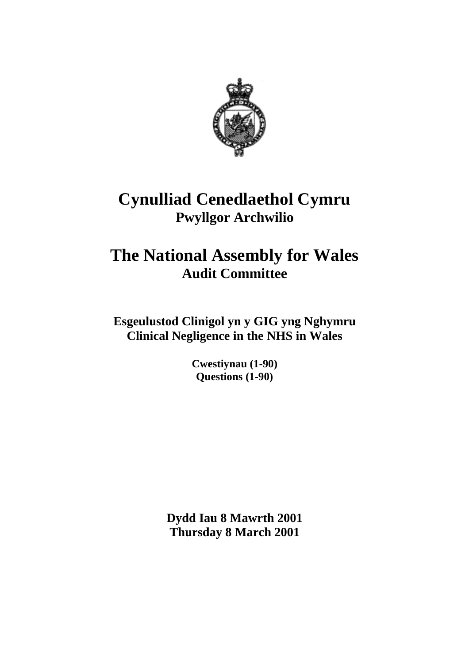

## **Cynulliad Cenedlaethol Cymru Pwyllgor Archwilio**

# **The National Assembly for Wales Audit Committee**

**Esgeulustod Clinigol yn y GIG yng Nghymru Clinical Negligence in the NHS in Wales**

> **Cwestiynau (1-90) Questions (1-90)**

**Dydd Iau 8 Mawrth 2001 Thursday 8 March 2001**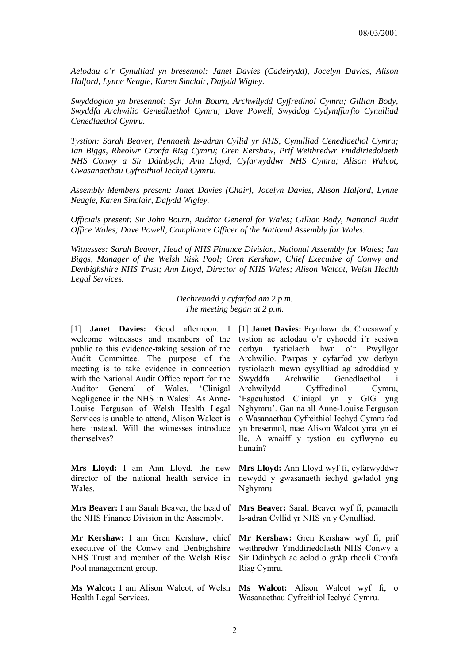*Aelodau o'r Cynulliad yn bresennol: Janet Davies (Cadeirydd), Jocelyn Davies, Alison Halford, Lynne Neagle, Karen Sinclair, Dafydd Wigley.*

*Swyddogion yn bresennol: Syr John Bourn, Archwilydd Cyffredinol Cymru; Gillian Body, Swyddfa Archwilio Genedlaethol Cymru; Dave Powell, Swyddog Cydymffurfio Cynulliad Cenedlaethol Cymru.*

*Tystion: Sarah Beaver, Pennaeth Is-adran Cyllid yr NHS, Cynulliad Cenedlaethol Cymru; Ian Biggs, Rheolwr Cronfa Risg Cymru; Gren Kershaw, Prif Weithredwr Ymddiriedolaeth NHS Conwy a Sir Ddinbych; Ann Lloyd, Cyfarwyddwr NHS Cymru; Alison Walcot, Gwasanaethau Cyfreithiol Iechyd Cymru.*

*Assembly Members present: Janet Davies (Chair), Jocelyn Davies, Alison Halford, Lynne Neagle, Karen Sinclair, Dafydd Wigley.*

*Officials present: Sir John Bourn, Auditor General for Wales; Gillian Body, National Audit Office Wales; Dave Powell, Compliance Officer of the National Assembly for Wales.*

*Witnesses: Sarah Beaver, Head of NHS Finance Division, National Assembly for Wales; Ian Biggs, Manager of the Welsh Risk Pool; Gren Kershaw, Chief Executive of Conwy and Denbighshire NHS Trust; Ann Lloyd, Director of NHS Wales; Alison Walcot, Welsh Health Legal Services.*

> *Dechreuodd y cyfarfod am 2 p.m. The meeting began at 2 p.m.*

welcome witnesses and members of the public to this evidence-taking session of the Audit Committee. The purpose of the meeting is to take evidence in connection with the National Audit Office report for the Auditor General of Wales, 'Clinigal Negligence in the NHS in Wales'. As Anne-Louise Ferguson of Welsh Health Legal Services is unable to attend, Alison Walcot is here instead. Will the witnesses introduce themselves?

**Mrs Lloyd:** I am Ann Lloyd, the new director of the national health service in Wales.

**Mrs Beaver:** I am Sarah Beaver, the head of the NHS Finance Division in the Assembly.

**Mr Kershaw:** I am Gren Kershaw, chief executive of the Conwy and Denbighshire NHS Trust and member of the Welsh Risk Pool management group.

**Ms Walcot:** I am Alison Walcot, of Welsh **Ms Walcot:** Alison Walcot wyf fi, o Health Legal Services.

[1] **Janet Davies:** Good afternoon. I [1] **Janet Davies:** Prynhawn da. Croesawaf y tystion ac aelodau o'r cyhoedd i'r sesiwn derbyn tystiolaeth hwn o'r Pwyllgor Archwilio. Pwrpas y cyfarfod yw derbyn tystiolaeth mewn cysylltiad ag adroddiad y Swyddfa Archwilio Genedlaethol i Archwilydd Cyffredinol Cymru, 'Esgeulustod Clinigol yn y GIG yng Nghymru'. Gan na all Anne-Louise Ferguson o Wasanaethau Cyfreithiol Iechyd Cymru fod yn bresennol, mae Alison Walcot yma yn ei lle. A wnaiff y tystion eu cyflwyno eu hunain?

> **Mrs Lloyd:** Ann Lloyd wyf fi, cyfarwyddwr newydd y gwasanaeth iechyd gwladol yng Nghymru.

> **Mrs Beaver:** Sarah Beaver wyf fi, pennaeth Is-adran Cyllid yr NHS yn y Cynulliad.

> **Mr Kershaw:** Gren Kershaw wyf fi, prif weithredwr Ymddiriedolaeth NHS Conwy a Sir Ddinbych ac aelod o grŵp rheoli Cronfa Risg Cymru.

Wasanaethau Cyfreithiol Iechyd Cymru.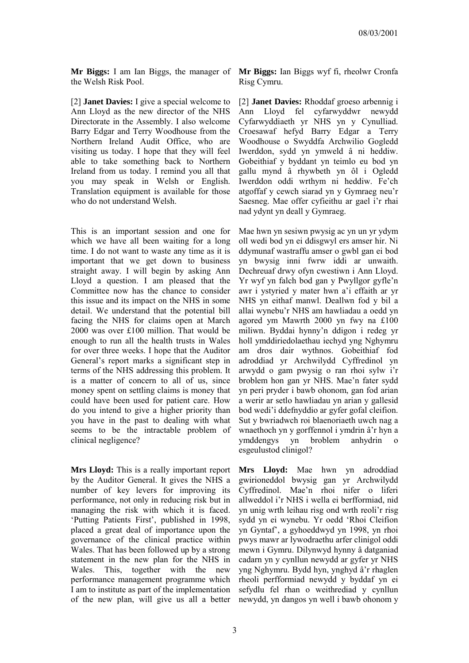**Mr Biggs:** I am Ian Biggs, the manager of **Mr Biggs:** Ian Biggs wyf fi, rheolwr Cronfa the Welsh Risk Pool.

[2] **Janet Davies:** I give a special welcome to Ann Lloyd as the new director of the NHS Directorate in the Assembly. I also welcome Barry Edgar and Terry Woodhouse from the Northern Ireland Audit Office, who are visiting us today. I hope that they will feel able to take something back to Northern Ireland from us today. I remind you all that you may speak in Welsh or English. Translation equipment is available for those who do not understand Welsh.

This is an important session and one for which we have all been waiting for a long time. I do not want to waste any time as it is important that we get down to business straight away. I will begin by asking Ann Lloyd a question. I am pleased that the Committee now has the chance to consider this issue and its impact on the NHS in some detail. We understand that the potential bill facing the NHS for claims open at March 2000 was over £100 million. That would be enough to run all the health trusts in Wales for over three weeks. I hope that the Auditor General's report marks a significant step in terms of the NHS addressing this problem. It is a matter of concern to all of us, since money spent on settling claims is money that could have been used for patient care. How do you intend to give a higher priority than you have in the past to dealing with what seems to be the intractable problem of clinical negligence?

**Mrs Lloyd:** This is a really important report by the Auditor General. It gives the NHS a number of key levers for improving its performance, not only in reducing risk but in managing the risk with which it is faced. 'Putting Patients First', published in 1998, placed a great deal of importance upon the governance of the clinical practice within Wales. That has been followed up by a strong statement in the new plan for the NHS in Wales. This, together with the new performance management programme which I am to institute as part of the implementation of the new plan, will give us all a better

Risg Cymru.

[2] **Janet Davies:** Rhoddaf groeso arbennig i Ann Lloyd fel cyfarwyddwr newydd Cyfarwyddiaeth yr NHS yn y Cynulliad. Croesawaf hefyd Barry Edgar a Terry Woodhouse o Swyddfa Archwilio Gogledd Iwerddon, sydd yn ymweld â ni heddiw. Gobeithiaf y byddant yn teimlo eu bod yn gallu mynd â rhywbeth yn ôl i Ogledd Iwerddon oddi wrthym ni heddiw. Fe'ch atgoffaf y cewch siarad yn y Gymraeg neu'r Saesneg. Mae offer cyfieithu ar gael i'r rhai nad ydynt yn deall y Gymraeg.

Mae hwn yn sesiwn pwysig ac yn un yr ydym oll wedi bod yn ei ddisgwyl ers amser hir. Ni ddymunaf wastraffu amser o gwbl gan ei bod yn bwysig inni fwrw iddi ar unwaith. Dechreuaf drwy ofyn cwestiwn i Ann Lloyd. Yr wyf yn falch bod gan y Pwyllgor gyfle'n awr i ystyried y mater hwn a'i effaith ar yr NHS yn eithaf manwl. Deallwn fod y bil a allai wynebu'r NHS am hawliadau a oedd yn agored ym Mawrth 2000 yn fwy na £100 miliwn. Byddai hynny'n ddigon i redeg yr holl ymddiriedolaethau iechyd yng Nghymru am dros dair wythnos. Gobeithiaf fod adroddiad yr Archwilydd Cyffredinol yn arwydd o gam pwysig o ran rhoi sylw i'r broblem hon gan yr NHS. Mae'n fater sydd yn peri pryder i bawb ohonom, gan fod arian a werir ar setlo hawliadau yn arian y gallesid bod wedi'i ddefnyddio ar gyfer gofal cleifion. Sut y bwriadwch roi blaenoriaeth uwch nag a wnaethoch yn y gorffennol i ymdrin â'r hyn a ymddengys yn broblem anhydrin o esgeulustod clinigol?

**Mrs Lloyd:** Mae hwn yn adroddiad gwirioneddol bwysig gan yr Archwilydd Cyffredinol. Mae'n rhoi nifer o liferi allweddol i'r NHS i wella ei berfformiad, nid yn unig wrth leihau risg ond wrth reoli'r risg sydd yn ei wynebu. Yr oedd 'Rhoi Cleifion yn Gyntaf', a gyhoeddwyd yn 1998, yn rhoi pwys mawr ar lywodraethu arfer clinigol oddi mewn i Gymru. Dilynwyd hynny â datganiad cadarn yn y cynllun newydd ar gyfer yr NHS yng Nghymru. Bydd hyn, ynghyd â'r rhaglen rheoli perfformiad newydd y byddaf yn ei sefydlu fel rhan o weithrediad y cynllun newydd, yn dangos yn well i bawb ohonom y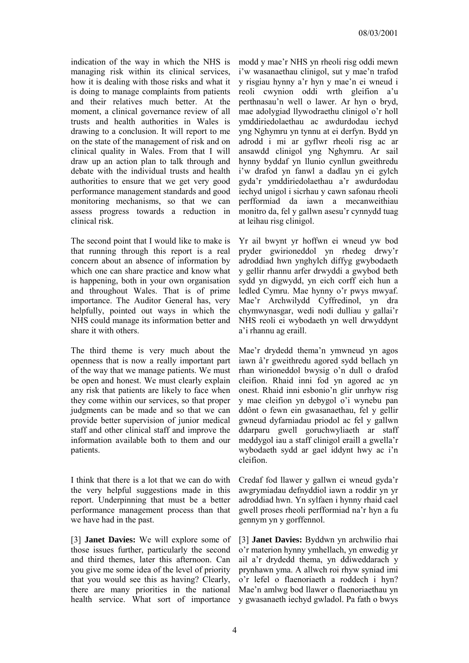indication of the way in which the NHS is managing risk within its clinical services, how it is dealing with those risks and what it is doing to manage complaints from patients and their relatives much better. At the moment, a clinical governance review of all trusts and health authorities in Wales is drawing to a conclusion. It will report to me on the state of the management of risk and on clinical quality in Wales. From that I will draw up an action plan to talk through and debate with the individual trusts and health authorities to ensure that we get very good performance management standards and good monitoring mechanisms, so that we can assess progress towards a reduction in clinical risk.

The second point that I would like to make is that running through this report is a real concern about an absence of information by which one can share practice and know what is happening, both in your own organisation and throughout Wales. That is of prime importance. The Auditor General has, very helpfully, pointed out ways in which the NHS could manage its information better and share it with others.

The third theme is very much about the openness that is now a really important part of the way that we manage patients. We must be open and honest. We must clearly explain any risk that patients are likely to face when they come within our services, so that proper judgments can be made and so that we can provide better supervision of junior medical staff and other clinical staff and improve the information available both to them and our patients.

I think that there is a lot that we can do with the very helpful suggestions made in this report. Underpinning that must be a better performance management process than that we have had in the past.

[3] **Janet Davies:** We will explore some of those issues further, particularly the second and third themes, later this afternoon. Can you give me some idea of the level of priority that you would see this as having? Clearly, there are many priorities in the national health service. What sort of importance

modd y mae'r NHS yn rheoli risg oddi mewn i'w wasanaethau clinigol, sut y mae'n trafod y risgiau hynny a'r hyn y mae'n ei wneud i reoli cwynion oddi wrth gleifion a'u perthnasau'n well o lawer. Ar hyn o bryd, mae adolygiad llywodraethu clinigol o'r holl ymddiriedolaethau ac awdurdodau iechyd yng Nghymru yn tynnu at ei derfyn. Bydd yn adrodd i mi ar gyflwr rheoli risg ac ar ansawdd clinigol yng Nghymru. Ar sail hynny byddaf yn llunio cynllun gweithredu i'w drafod yn fanwl a dadlau yn ei gylch gyda'r ymddiriedolaethau a'r awdurdodau iechyd unigol i sicrhau y cawn safonau rheoli perfformiad da iawn a mecanweithiau monitro da, fel y gallwn asesu'r cynnydd tuag at leihau risg clinigol.

Yr ail bwynt yr hoffwn ei wneud yw bod pryder gwirioneddol yn rhedeg drwy'r adroddiad hwn ynghylch diffyg gwybodaeth y gellir rhannu arfer drwyddi a gwybod beth sydd yn digwydd, yn eich corff eich hun a ledled Cymru. Mae hynny o'r pwys mwyaf. Mae'r Archwilydd Cyffredinol, yn dra chymwynasgar, wedi nodi dulliau y gallai'r NHS reoli ei wybodaeth yn well drwyddynt a'i rhannu ag eraill.

Mae'r drydedd thema'n ymwneud yn agos iawn â'r gweithredu agored sydd bellach yn rhan wirioneddol bwysig o'n dull o drafod cleifion. Rhaid inni fod yn agored ac yn onest. Rhaid inni esbonio'n glir unrhyw risg y mae cleifion yn debygol o'i wynebu pan ddônt o fewn ein gwasanaethau, fel y gellir gwneud dyfarniadau priodol ac fel y gallwn ddarparu gwell goruchwyliaeth ar staff meddygol iau a staff clinigol eraill a gwella'r wybodaeth sydd ar gael iddynt hwy ac i'n cleifion.

Credaf fod llawer y gallwn ei wneud gyda'r awgrymiadau defnyddiol iawn a roddir yn yr adroddiad hwn. Yn sylfaen i hynny rhaid cael gwell proses rheoli perfformiad na'r hyn a fu gennym yn y gorffennol.

[3] **Janet Davies:** Byddwn yn archwilio rhai o'r materion hynny ymhellach, yn enwedig yr ail a'r drydedd thema, yn ddiweddarach y prynhawn yma. A allwch roi rhyw syniad imi o'r lefel o flaenoriaeth a roddech i hyn? Mae'n amlwg bod llawer o flaenoriaethau yn y gwasanaeth iechyd gwladol. Pa fath o bwys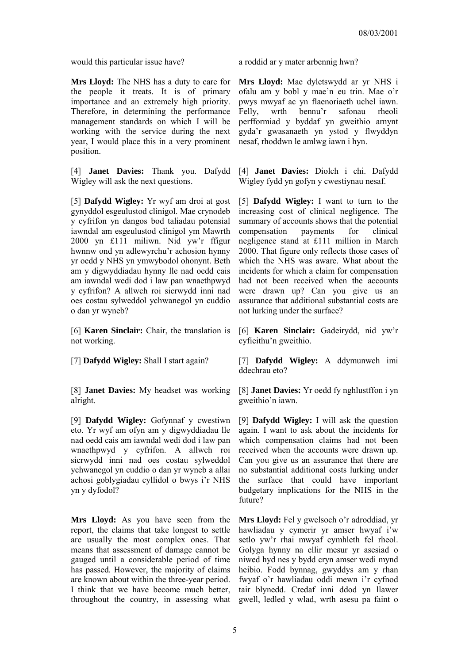**Mrs Lloyd:** The NHS has a duty to care for the people it treats. It is of primary importance and an extremely high priority. Therefore, in determining the performance management standards on which I will be working with the service during the next year, I would place this in a very prominent position.

[4] **Janet Davies:** Thank you. Dafydd Wigley will ask the next questions.

[5] **Dafydd Wigley:** Yr wyf am droi at gost gynyddol esgeulustod clinigol. Mae crynodeb y cyfrifon yn dangos bod taliadau potensial iawndal am esgeulustod clinigol ym Mawrth 2000 yn £111 miliwn. Nid yw'r ffigur hwnnw ond yn adlewyrchu'r achosion hynny yr oedd y NHS yn ymwybodol ohonynt. Beth am y digwyddiadau hynny lle nad oedd cais am iawndal wedi dod i law pan wnaethpwyd y cyfrifon? A allwch roi sicrwydd inni nad oes costau sylweddol ychwanegol yn cuddio o dan yr wyneb?

[6] **Karen Sinclair:** Chair, the translation is not working.

[8] **Janet Davies:** My headset was working alright.

[9] **Dafydd Wigley:** Gofynnaf y cwestiwn eto. Yr wyf am ofyn am y digwyddiadau lle nad oedd cais am iawndal wedi dod i law pan wnaethpwyd y cyfrifon. A allwch roi sicrwydd inni nad oes costau sylweddol ychwanegol yn cuddio o dan yr wyneb a allai achosi goblygiadau cyllidol o bwys i'r NHS yn y dyfodol?

**Mrs Lloyd:** As you have seen from the report, the claims that take longest to settle are usually the most complex ones. That means that assessment of damage cannot be gauged until a considerable period of time has passed. However, the majority of claims are known about within the three-year period. I think that we have become much better, throughout the country, in assessing what

would this particular issue have? a roddid ar y mater arbennig hwn?

**Mrs Lloyd:** Mae dyletswydd ar yr NHS i ofalu am y bobl y mae'n eu trin. Mae o'r pwys mwyaf ac yn flaenoriaeth uchel iawn. Felly, wrth bennu'r safonau rheoli perfformiad y byddaf yn gweithio arnynt gyda'r gwasanaeth yn ystod y flwyddyn nesaf, rhoddwn le amlwg iawn i hyn.

[4] **Janet Davies:** Diolch i chi. Dafydd Wigley fydd yn gofyn y cwestiynau nesaf.

[5] **Dafydd Wigley:** I want to turn to the increasing cost of clinical negligence. The summary of accounts shows that the potential compensation payments for clinical negligence stand at £111 million in March 2000. That figure only reflects those cases of which the NHS was aware. What about the incidents for which a claim for compensation had not been received when the accounts were drawn up? Can you give us an assurance that additional substantial costs are not lurking under the surface?

[6] **Karen Sinclair:** Gadeirydd, nid yw'r cyfieithu'n gweithio.

[7] **Dafydd Wigley:** Shall I start again? [7] **Dafydd Wigley:** A ddymunwch imi ddechrau eto?

> [8] **Janet Davies:** Yr oedd fy nghlustffon i yn gweithio'n iawn.

> [9] **Dafydd Wigley:** I will ask the question again. I want to ask about the incidents for which compensation claims had not been received when the accounts were drawn up. Can you give us an assurance that there are no substantial additional costs lurking under the surface that could have important budgetary implications for the NHS in the future?

> **Mrs Lloyd:** Fel y gwelsoch o'r adroddiad, yr hawliadau y cymerir yr amser hwyaf i'w setlo yw'r rhai mwyaf cymhleth fel rheol. Golyga hynny na ellir mesur yr asesiad o niwed hyd nes y bydd cryn amser wedi mynd heibio. Fodd bynnag, gwyddys am y rhan fwyaf o'r hawliadau oddi mewn i'r cyfnod tair blynedd. Credaf inni ddod yn llawer gwell, ledled y wlad, wrth asesu pa faint o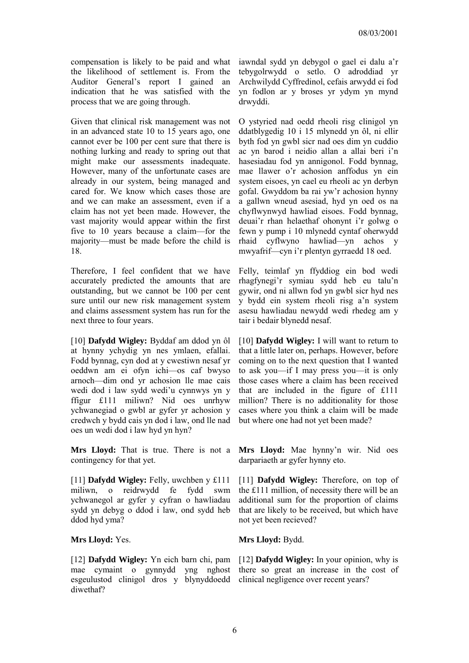compensation is likely to be paid and what the likelihood of settlement is. From the Auditor General's report I gained an indication that he was satisfied with the process that we are going through.

Given that clinical risk management was not in an advanced state 10 to 15 years ago, one cannot ever be 100 per cent sure that there is nothing lurking and ready to spring out that might make our assessments inadequate. However, many of the unfortunate cases are already in our system, being managed and cared for. We know which cases those are and we can make an assessment, even if a claim has not yet been made. However, the vast majority would appear within the first five to 10 years because a claim—for the majority—must be made before the child is 18.

Therefore, I feel confident that we have accurately predicted the amounts that are outstanding, but we cannot be 100 per cent sure until our new risk management system and claims assessment system has run for the next three to four years.

[10] **Dafydd Wigley:** Byddaf am ddod yn ôl at hynny ychydig yn nes ymlaen, efallai. Fodd bynnag, cyn dod at y cwestiwn nesaf yr oeddwn am ei ofyn ichi—os caf bwyso arnoch—dim ond yr achosion lle mae cais wedi dod i law sydd wedi'u cynnwys yn y ffigur £111 miliwn? Nid oes unrhyw ychwanegiad o gwbl ar gyfer yr achosion y credwch y bydd cais yn dod i law, ond lle nad oes un wedi dod i law hyd yn hyn?

**Mrs Lloyd:** That is true. There is not a contingency for that yet.

[11] **Dafydd Wigley:** Felly, uwchben y £111 miliwn, o reidrwydd fe fydd swm ychwanegol ar gyfer y cyfran o hawliadau sydd yn debyg o ddod i law, ond sydd heb ddod hyd yma?

[12] **Dafydd Wigley:** Yn eich barn chi, pam mae cymaint o gynnydd yng nghost esgeulustod clinigol dros y blynyddoedd diwethaf?

iawndal sydd yn debygol o gael ei dalu a'r tebygolrwydd o setlo. O adroddiad yr Archwilydd Cyffredinol, cefais arwydd ei fod yn fodlon ar y broses yr ydym yn mynd drwyddi.

O ystyried nad oedd rheoli risg clinigol yn ddatblygedig 10 i 15 mlynedd yn ôl, ni ellir byth fod yn gwbl sicr nad oes dim yn cuddio ac yn barod i neidio allan a allai beri i'n hasesiadau fod yn annigonol. Fodd bynnag, mae llawer o'r achosion anffodus yn ein system eisoes, yn cael eu rheoli ac yn derbyn gofal. Gwyddom ba rai yw'r achosion hynny a gallwn wneud asesiad, hyd yn oed os na chyflwynwyd hawliad eisoes. Fodd bynnag, deuai'r rhan helaethaf ohonynt i'r golwg o fewn y pump i 10 mlynedd cyntaf oherwydd rhaid cyflwyno hawliad—yn achos y mwyafrif—cyn i'r plentyn gyrraedd 18 oed.

Felly, teimlaf yn ffyddiog ein bod wedi rhagfynegi'r symiau sydd heb eu talu'n gywir, ond ni allwn fod yn gwbl sicr hyd nes y bydd ein system rheoli risg a'n system asesu hawliadau newydd wedi rhedeg am y tair i bedair blynedd nesaf.

[10] **Dafydd Wigley:** I will want to return to that a little later on, perhaps. However, before coming on to the next question that I wanted to ask you—if I may press you—it is only those cases where a claim has been received that are included in the figure of £111 million? There is no additionality for those cases where you think a claim will be made but where one had not yet been made?

**Mrs Lloyd:** Mae hynny'n wir. Nid oes darpariaeth ar gyfer hynny eto.

[11] **Dafydd Wigley:** Therefore, on top of the £111 million, of necessity there will be an additional sum for the proportion of claims that are likely to be received, but which have not yet been recieved?

**Mrs Lloyd:** Yes. **Mrs Lloyd:** Bydd.

[12] **Dafydd Wigley:** In your opinion, why is there so great an increase in the cost of clinical negligence over recent years?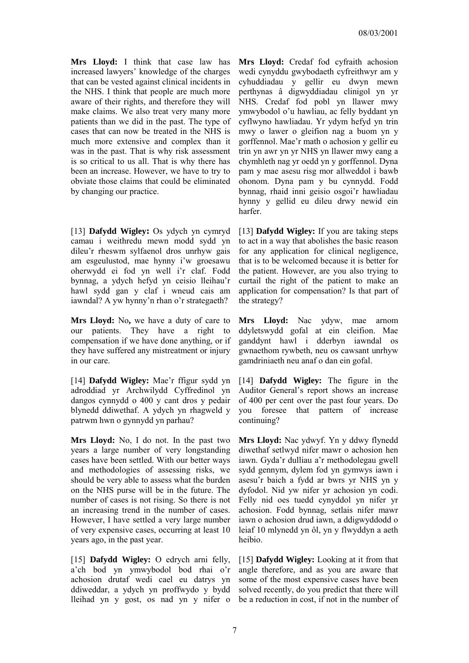**Mrs Lloyd:** I think that case law has increased lawyers' knowledge of the charges that can be vested against clinical incidents in the NHS. I think that people are much more aware of their rights, and therefore they will make claims. We also treat very many more patients than we did in the past. The type of cases that can now be treated in the NHS is much more extensive and complex than it was in the past. That is why risk assessment is so critical to us all. That is why there has been an increase. However, we have to try to obviate those claims that could be eliminated by changing our practice.

[13] **Dafydd Wigley:** Os ydych yn cymryd camau i weithredu mewn modd sydd yn dileu'r rheswm sylfaenol dros unrhyw gais am esgeulustod, mae hynny i'w groesawu oherwydd ei fod yn well i'r claf. Fodd bynnag, a ydych hefyd yn ceisio lleihau'r hawl sydd gan y claf i wneud cais am iawndal? A yw hynny'n rhan o'r strategaeth?

**Mrs Lloyd:** No**,** we have a duty of care to our patients. They have a right to compensation if we have done anything, or if they have suffered any mistreatment or injury in our care.

[14] **Dafydd Wigley:** Mae'r ffigur sydd yn adroddiad yr Archwilydd Cyffredinol yn dangos cynnydd o 400 y cant dros y pedair blynedd ddiwethaf. A ydych yn rhagweld y patrwm hwn o gynnydd yn parhau?

**Mrs Lloyd:** No, I do not. In the past two years a large number of very longstanding cases have been settled. With our better ways and methodologies of assessing risks, we should be very able to assess what the burden on the NHS purse will be in the future. The number of cases is not rising. So there is not an increasing trend in the number of cases. However, I have settled a very large number of very expensive cases, occurring at least 10 years ago, in the past year.

[15] **Dafydd Wigley:** O edrych arni felly, a'ch bod yn ymwybodol bod rhai o'r achosion drutaf wedi cael eu datrys yn ddiweddar, a ydych yn proffwydo y bydd lleihad yn y gost, os nad yn y nifer o

**Mrs Lloyd:** Credaf fod cyfraith achosion wedi cynyddu gwybodaeth cyfreithwyr am y cyhuddiadau y gellir eu dwyn mewn perthynas â digwyddiadau clinigol yn yr NHS. Credaf fod pobl yn llawer mwy ymwybodol o'u hawliau, ac felly byddant yn cyflwyno hawliadau. Yr ydym hefyd yn trin mwy o lawer o gleifion nag a buom yn y gorffennol. Mae'r math o achosion y gellir eu trin yn awr yn yr NHS yn llawer mwy eang a chymhleth nag yr oedd yn y gorffennol. Dyna pam y mae asesu risg mor allweddol i bawb ohonom. Dyna pam y bu cynnydd. Fodd bynnag, rhaid inni geisio osgoi'r hawliadau hynny y gellid eu dileu drwy newid ein harfer.

[13] **Dafydd Wigley:** If you are taking steps to act in a way that abolishes the basic reason for any application for clinical negligence, that is to be welcomed because it is better for the patient. However, are you also trying to curtail the right of the patient to make an application for compensation? Is that part of the strategy?

**Mrs Lloyd:** Nac ydyw, mae arnom ddyletswydd gofal at ein cleifion. Mae ganddynt hawl i dderbyn iawndal os gwnaethom rywbeth, neu os cawsant unrhyw gamdriniaeth neu anaf o dan ein gofal.

[14] **Dafydd Wigley:** The figure in the Auditor General's report shows an increase of 400 per cent over the past four years. Do you foresee that pattern of increase continuing?

**Mrs Lloyd:** Nac ydwyf. Yn y ddwy flynedd diwethaf setlwyd nifer mawr o achosion hen iawn. Gyda'r dulliau a'r methodolegau gwell sydd gennym, dylem fod yn gymwys iawn i asesu'r baich a fydd ar bwrs yr NHS yn y dyfodol. Nid yw nifer yr achosion yn codi. Felly nid oes tuedd cynyddol yn nifer yr achosion. Fodd bynnag, setlais nifer mawr iawn o achosion drud iawn, a ddigwyddodd o leiaf 10 mlynedd yn ôl, yn y flwyddyn a aeth heibio.

[15] **Dafydd Wigley:** Looking at it from that angle therefore, and as you are aware that some of the most expensive cases have been solved recently, do you predict that there will be a reduction in cost, if not in the number of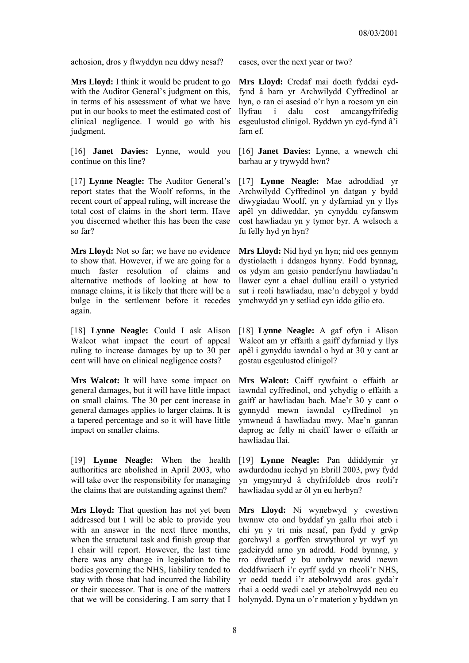achosion, dros y flwyddyn neu ddwy nesaf? cases, over the next year or two?

**Mrs Lloyd:** I think it would be prudent to go with the Auditor General's judgment on this, in terms of his assessment of what we have put in our books to meet the estimated cost of clinical negligence. I would go with his judgment.

[16] **Janet Davies:** Lynne, would you continue on this line?

[17] **Lynne Neagle:** The Auditor General's report states that the Woolf reforms, in the recent court of appeal ruling, will increase the total cost of claims in the short term. Have you discerned whether this has been the case so far?

**Mrs Lloyd:** Not so far; we have no evidence to show that. However, if we are going for a much faster resolution of claims and alternative methods of looking at how to manage claims, it is likely that there will be a bulge in the settlement before it recedes again.

[18] **Lynne Neagle:** Could I ask Alison Walcot what impact the court of appeal ruling to increase damages by up to 30 per cent will have on clinical negligence costs?

**Mrs Walcot:** It will have some impact on general damages, but it will have little impact on small claims. The 30 per cent increase in general damages applies to larger claims. It is a tapered percentage and so it will have little impact on smaller claims.

[19] **Lynne Neagle:** When the health authorities are abolished in April 2003, who will take over the responsibility for managing the claims that are outstanding against them?

**Mrs Lloyd:** That question has not yet been addressed but I will be able to provide you with an answer in the next three months, when the structural task and finish group that I chair will report. However, the last time there was any change in legislation to the bodies governing the NHS, liability tended to stay with those that had incurred the liability or their successor. That is one of the matters that we will be considering. I am sorry that I

**Mrs Lloyd:** Credaf mai doeth fyddai cydfynd â barn yr Archwilydd Cyffredinol ar hyn, o ran ei asesiad o'r hyn a roesom yn ein llyfrau i dalu cost amcangyfrifedig esgeulustod clinigol. Byddwn yn cyd-fynd â'i farn ef

[16] **Janet Davies:** Lynne, a wnewch chi barhau ar y trywydd hwn?

[17] **Lynne Neagle:** Mae adroddiad yr Archwilydd Cyffredinol yn datgan y bydd diwygiadau Woolf, yn y dyfarniad yn y llys apêl yn ddiweddar, yn cynyddu cyfanswm cost hawliadau yn y tymor byr. A welsoch a fu felly hyd yn hyn?

**Mrs Lloyd:** Nid hyd yn hyn; nid oes gennym dystiolaeth i ddangos hynny. Fodd bynnag, os ydym am geisio penderfynu hawliadau'n llawer cynt a chael dulliau eraill o ystyried sut i reoli hawliadau, mae'n debygol y bydd ymchwydd yn y setliad cyn iddo gilio eto.

[18] **Lynne Neagle:** A gaf ofyn i Alison Walcot am yr effaith a gaiff dyfarniad y llys apêl i gynyddu iawndal o hyd at 30 y cant ar gostau esgeulustod clinigol?

**Mrs Walcot:** Caiff rywfaint o effaith ar iawndal cyffredinol, ond ychydig o effaith a gaiff ar hawliadau bach. Mae'r 30 y cant o gynnydd mewn iawndal cyffredinol yn ymwneud â hawliadau mwy. Mae'n ganran daprog ac felly ni chaiff lawer o effaith ar hawliadau llai.

[19] **Lynne Neagle:** Pan ddiddymir yr awdurdodau iechyd yn Ebrill 2003, pwy fydd yn ymgymryd â chyfrifoldeb dros reoli'r hawliadau sydd ar ôl yn eu herbyn?

**Mrs Lloyd:** Ni wynebwyd y cwestiwn hwnnw eto ond byddaf yn gallu rhoi ateb i chi yn y tri mis nesaf, pan fydd y grŵp gorchwyl a gorffen strwythurol yr wyf yn gadeirydd arno yn adrodd. Fodd bynnag, y tro diwethaf y bu unrhyw newid mewn deddfwriaeth i'r cyrff sydd yn rheoli'r NHS, yr oedd tuedd i'r atebolrwydd aros gyda'r rhai a oedd wedi cael yr atebolrwydd neu eu holynydd. Dyna un o'r materion y byddwn yn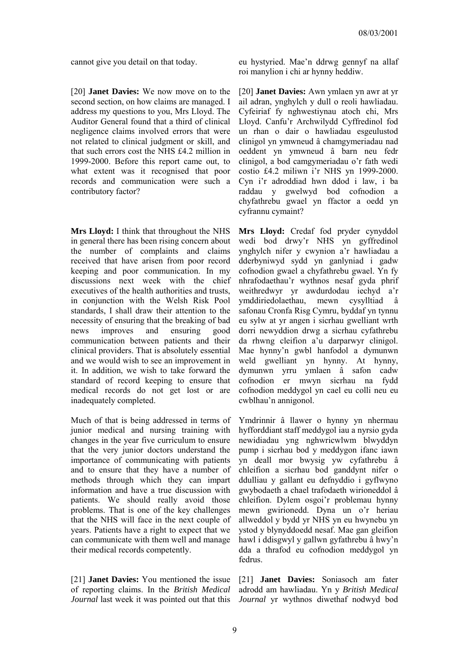[20] **Janet Davies:** We now move on to the second section, on how claims are managed. I address my questions to you, Mrs Lloyd. The Auditor General found that a third of clinical negligence claims involved errors that were not related to clinical judgment or skill, and that such errors cost the NHS £4.2 million in 1999-2000. Before this report came out, to what extent was it recognised that poor records and communication were such a contributory factor?

**Mrs Lloyd:** I think that throughout the NHS in general there has been rising concern about the number of complaints and claims received that have arisen from poor record keeping and poor communication. In my discussions next week with the chief executives of the health authorities and trusts in conjunction with the Welsh Risk Pool standards, I shall draw their attention to the necessity of ensuring that the breaking of bad news improves and ensuring good communication between patients and their clinical providers. That is absolutely essential and we would wish to see an improvement in it. In addition, we wish to take forward the standard of record keeping to ensure that medical records do not get lost or are inadequately completed.

Much of that is being addressed in terms of junior medical and nursing training with changes in the year five curriculum to ensure that the very junior doctors understand the importance of communicating with patients and to ensure that they have a number of methods through which they can impart information and have a true discussion with patients. We should really avoid those problems. That is one of the key challenges that the NHS will face in the next couple of years. Patients have a right to expect that we can communicate with them well and manage their medical records competently.

[21] **Janet Davies:** You mentioned the issue of reporting claims. In the *British Medical* Journal last week it was pointed out that this Journal yr wythnos diwethaf nodwyd bod

cannot give you detail on that today. eu hystyried. Mae'n ddrwg gennyf na allaf roi manylion i chi ar hynny heddiw.

> [20] **Janet Davies:** Awn ymlaen yn awr at yr ail adran, ynghylch y dull o reoli hawliadau. Cyfeiriaf fy nghwestiynau atoch chi, Mrs Lloyd. Canfu'r Archwilydd Cyffredinol fod un rhan o dair o hawliadau esgeulustod clinigol yn ymwneud â chamgymeriadau nad oeddent yn ymwneud â barn neu fedr clinigol, a bod camgymeriadau o'r fath wedi costio £4.2 miliwn i'r NHS yn 1999-2000. Cyn i'r adroddiad hwn ddod i law, i ba raddau y gwelwyd bod cofnodion a chyfathrebu gwael yn ffactor a oedd yn cyfrannu cymaint?

> **Mrs Lloyd:** Credaf fod pryder cynyddol wedi bod drwy'r NHS yn gyffredinol ynghylch nifer y cwynion a'r hawliadau a dderbyniwyd sydd yn ganlyniad i gadw cofnodion gwael a chyfathrebu gwael. Yn fy nhrafodaethau'r wythnos nesaf gyda phrif weithredwyr yr awdurdodau iechyd a'r ymddiriedolaethau, mewn cysylltiad â safonau Cronfa Risg Cymru, byddaf yn tynnu eu sylw at yr angen i sicrhau gwelliant wrth dorri newyddion drwg a sicrhau cyfathrebu da rhwng cleifion a'u darparwyr clinigol. Mae hynny'n gwbl hanfodol a dymunwn weld gwelliant yn hynny. At hynny, dymunwn yrru ymlaen â safon cadw cofnodion er mwyn sicrhau na fydd cofnodion meddygol yn cael eu colli neu eu cwblhau'n annigonol.

> Ymdrinnir â llawer o hynny yn nhermau hyfforddiant staff meddygol iau a nyrsio gyda newidiadau yng nghwricwlwm blwyddyn pump i sicrhau bod y meddygon ifanc iawn yn deall mor bwysig yw cyfathrebu â chleifion a sicrhau bod ganddynt nifer o ddulliau y gallant eu defnyddio i gyflwyno gwybodaeth a chael trafodaeth wirioneddol â chleifion. Dylem osgoi'r problemau hynny mewn gwirionedd. Dyna un o'r heriau allweddol y bydd yr NHS yn eu hwynebu yn ystod y blynyddoedd nesaf. Mae gan gleifion hawl i ddisgwyl y gallwn gyfathrebu â hwy'n dda a thrafod eu cofnodion meddygol yn fedrus.

> [21] **Janet Davies:** Soniasoch am fater adrodd am hawliadau. Yn y *British Medical*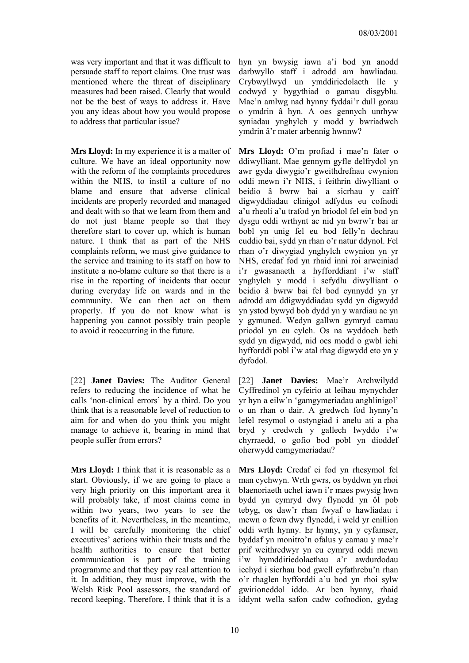was very important and that it was difficult to persuade staff to report claims. One trust was mentioned where the threat of disciplinary measures had been raised. Clearly that would not be the best of ways to address it. Have you any ideas about how you would propose to address that particular issue?

**Mrs Lloyd:** In my experience it is a matter of culture. We have an ideal opportunity now with the reform of the complaints procedures within the NHS, to instil a culture of no blame and ensure that adverse clinical incidents are properly recorded and managed and dealt with so that we learn from them and do not just blame people so that they therefore start to cover up, which is human nature. I think that as part of the NHS complaints reform, we must give guidance to the service and training to its staff on how to institute a no-blame culture so that there is a rise in the reporting of incidents that occur during everyday life on wards and in the community. We can then act on them properly. If you do not know what is happening you cannot possibly train people to avoid it reoccurring in the future.

[22] **Janet Davies:** The Auditor General refers to reducing the incidence of what he calls 'non-clinical errors' by a third. Do you think that is a reasonable level of reduction to aim for and when do you think you might manage to achieve it, bearing in mind that people suffer from errors?

**Mrs Lloyd:** I think that it is reasonable as a start. Obviously, if we are going to place a very high priority on this important area it will probably take, if most claims come in within two years, two years to see the benefits of it. Nevertheless, in the meantime, I will be carefully monitoring the chief executives' actions within their trusts and the health authorities to ensure that better communication is part of the training programme and that they pay real attention to it. In addition, they must improve, with the Welsh Risk Pool assessors, the standard of record keeping. Therefore, I think that it is a

hyn yn bwysig iawn a'i bod yn anodd darbwyllo staff i adrodd am hawliadau. Crybwyllwyd un ymddiriedolaeth lle y codwyd y bygythiad o gamau disgyblu. Mae'n amlwg nad hynny fyddai'r dull gorau o ymdrin â hyn. A oes gennych unrhyw syniadau ynghylch y modd y bwriadwch ymdrin â'r mater arbennig hwnnw?

**Mrs Lloyd:** O'm profiad i mae'n fater o ddiwylliant. Mae gennym gyfle delfrydol yn awr gyda diwygio'r gweithdrefnau cwynion oddi mewn i'r NHS, i feithrin diwylliant o beidio â bwrw bai a sicrhau y caiff digwyddiadau clinigol adfydus eu cofnodi a'u rheoli a'u trafod yn briodol fel ein bod yn dysgu oddi wrthynt ac nid yn bwrw'r bai ar bobl yn unig fel eu bod felly'n dechrau cuddio bai, sydd yn rhan o'r natur ddynol. Fel rhan o'r diwygiad ynghylch cwynion yn yr NHS, credaf fod yn rhaid inni roi arweiniad i'r gwasanaeth a hyfforddiant i'w staff ynghylch y modd i sefydlu diwylliant o beidio â bwrw bai fel bod cynnydd yn yr adrodd am ddigwyddiadau sydd yn digwydd yn ystod bywyd bob dydd yn y wardiau ac yn y gymuned. Wedyn gallwn gymryd camau priodol yn eu cylch. Os na wyddoch beth sydd yn digwydd, nid oes modd o gwbl ichi hyfforddi pobl i'w atal rhag digwydd eto yn y dyfodol.

[22] **Janet Davies:** Mae'r Archwilydd Cyffredinol yn cyfeirio at leihau mynychder yr hyn a eilw'n 'gamgymeriadau anghlinigol' o un rhan o dair. A gredwch fod hynny'n lefel resymol o ostyngiad i anelu ati a pha bryd y credwch y gallech lwyddo i'w chyrraedd, o gofio bod pobl yn dioddef oherwydd camgymeriadau?

**Mrs Lloyd:** Credaf ei fod yn rhesymol fel man cychwyn. Wrth gwrs, os byddwn yn rhoi blaenoriaeth uchel iawn i'r maes pwysig hwn bydd yn cymryd dwy flynedd yn ôl pob tebyg, os daw'r rhan fwyaf o hawliadau i mewn o fewn dwy flynedd, i weld yr enillion oddi wrth hynny. Er hynny, yn y cyfamser, byddaf yn monitro'n ofalus y camau y mae'r prif weithredwyr yn eu cymryd oddi mewn i'w hymddiriedolaethau a'r awdurdodau iechyd i sicrhau bod gwell cyfathrebu'n rhan o'r rhaglen hyfforddi a'u bod yn rhoi sylw gwirioneddol iddo. Ar ben hynny, rhaid iddynt wella safon cadw cofnodion, gydag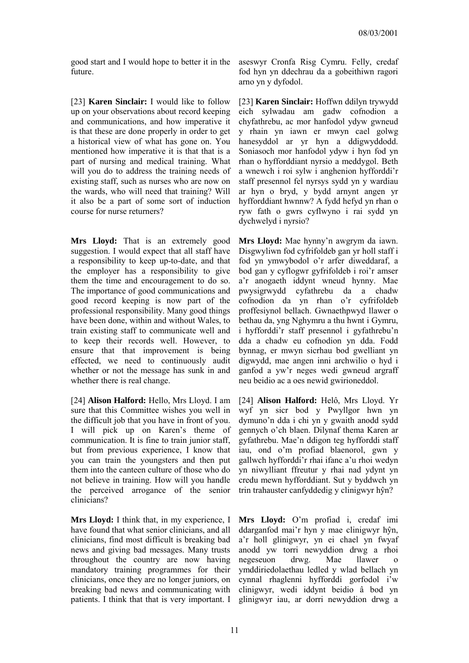good start and I would hope to better it in the future.

[23] **Karen Sinclair:** I would like to follow up on your observations about record keeping and communications, and how imperative it is that these are done properly in order to get a historical view of what has gone on. You mentioned how imperative it is that that is a part of nursing and medical training. What will you do to address the training needs of existing staff, such as nurses who are now on the wards, who will need that training? Will it also be a part of some sort of induction course for nurse returners?

**Mrs Lloyd:** That is an extremely good suggestion. I would expect that all staff have a responsibility to keep up-to-date, and that the employer has a responsibility to give them the time and encouragement to do so. The importance of good communications and good record keeping is now part of the professional responsibility. Many good things have been done, within and without Wales, to train existing staff to communicate well and to keep their records well. However, to ensure that that improvement is being effected, we need to continuously audit whether or not the message has sunk in and whether there is real change.

[24] **Alison Halford:** Hello, Mrs Lloyd. I am sure that this Committee wishes you well in the difficult job that you have in front of you. I will pick up on Karen's theme of communication. It is fine to train junior staff, but from previous experience, I know that you can train the youngsters and then put them into the canteen culture of those who do not believe in training. How will you handle the perceived arrogance of the senior clinicians?

**Mrs Lloyd:** I think that, in my experience, I have found that what senior clinicians, and all clinicians, find most difficult is breaking bad news and giving bad messages. Many trusts throughout the country are now having mandatory training programmes for their clinicians, once they are no longer juniors, on breaking bad news and communicating with patients. I think that that is very important. I

aseswyr Cronfa Risg Cymru. Felly, credaf fod hyn yn ddechrau da a gobeithiwn ragori arno yn y dyfodol.

[23] **Karen Sinclair:** Hoffwn ddilyn trywydd eich sylwadau am gadw cofnodion a chyfathrebu, ac mor hanfodol ydyw gwneud y rhain yn iawn er mwyn cael golwg hanesyddol ar yr hyn a ddigwyddodd. Soniasoch mor hanfodol ydyw i hyn fod yn rhan o hyfforddiant nyrsio a meddygol. Beth a wnewch i roi sylw i anghenion hyfforddi'r staff presennol fel nyrsys sydd yn y wardiau ar hyn o bryd, y bydd arnynt angen yr hyfforddiant hwnnw? A fydd hefyd yn rhan o ryw fath o gwrs cyflwyno i rai sydd yn dychwelyd i nyrsio?

**Mrs Lloyd:** Mae hynny'n awgrym da iawn. Disgwyliwn fod cyfrifoldeb gan yr holl staff i fod yn ymwybodol o'r arfer diweddaraf, a bod gan y cyflogwr gyfrifoldeb i roi'r amser a'r anogaeth iddynt wneud hynny. Mae pwysigrwydd cyfathrebu da a chadw cofnodion da yn rhan o'r cyfrifoldeb proffesiynol bellach. Gwnaethpwyd llawer o bethau da, yng Nghymru a thu hwnt i Gymru, i hyfforddi'r staff presennol i gyfathrebu'n dda a chadw eu cofnodion yn dda. Fodd bynnag, er mwyn sicrhau bod gwelliant yn digwydd, mae angen inni archwilio o hyd i ganfod a yw'r neges wedi gwneud argraff neu beidio ac a oes newid gwirioneddol.

[24] **Alison Halford:** Helô, Mrs Lloyd. Yr wyf yn sicr bod y Pwyllgor hwn yn dymuno'n dda i chi yn y gwaith anodd sydd gennych o'ch blaen. Dilynaf thema Karen ar gyfathrebu. Mae'n ddigon teg hyfforddi staff iau, ond o'm profiad blaenorol, gwn y gallwch hyfforddi'r rhai ifanc a'u rhoi wedyn yn niwylliant ffreutur y rhai nad ydynt yn credu mewn hyfforddiant. Sut y byddwch yn trin trahauster canfyddedig y clinigwyr hŷn?

**Mrs Lloyd:** O'm profiad i, credaf imi ddarganfod mai'r hyn y mae clinigwyr hŷn, a'r holl glinigwyr, yn ei chael yn fwyaf anodd yw torri newyddion drwg a rhoi negeseuon drwg. Mae llawer o ymddiriedolaethau ledled y wlad bellach yn cynnal rhaglenni hyfforddi gorfodol i'w clinigwyr, wedi iddynt beidio â bod yn glinigwyr iau, ar dorri newyddion drwg a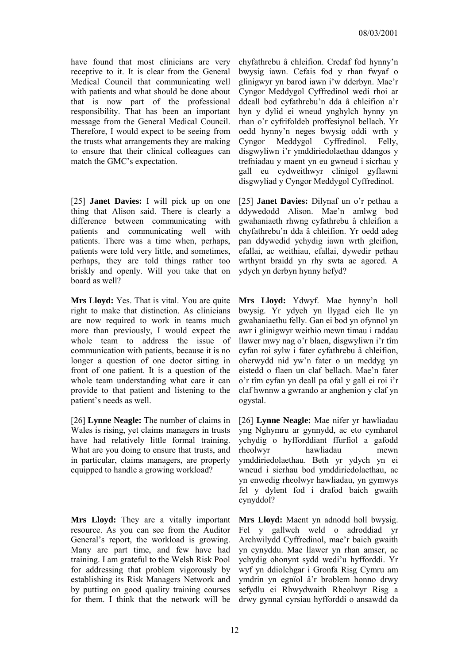have found that most clinicians are very receptive to it. It is clear from the General Medical Council that communicating well with patients and what should be done about that is now part of the professional responsibility. That has been an important message from the General Medical Council. Therefore, I would expect to be seeing from the trusts what arrangements they are making to ensure that their clinical colleagues can match the GMC's expectation.

[25] **Janet Davies:** I will pick up on one thing that Alison said. There is clearly a difference between communicating with patients and communicating well with patients. There was a time when, perhaps, patients were told very little, and sometimes, perhaps, they are told things rather too briskly and openly. Will you take that on board as well?

**Mrs Lloyd:** Yes. That is vital. You are quite right to make that distinction. As clinicians are now required to work in teams much more than previously, I would expect the whole team to address the issue of communication with patients, because it is no longer a question of one doctor sitting in front of one patient. It is a question of the whole team understanding what care it can provide to that patient and listening to the patient's needs as well.

[26] **Lynne Neagle:** The number of claims in Wales is rising, yet claims managers in trusts have had relatively little formal training. What are you doing to ensure that trusts, and in particular, claims managers, are properly equipped to handle a growing workload?

**Mrs Lloyd:** They are a vitally important resource. As you can see from the Auditor General's report, the workload is growing. Many are part time, and few have had training. I am grateful to the Welsh Risk Pool for addressing that problem vigorously by establishing its Risk Managers Network and by putting on good quality training courses for them. I think that the network will be

chyfathrebu â chleifion. Credaf fod hynny'n bwysig iawn. Cefais fod y rhan fwyaf o glinigwyr yn barod iawn i'w dderbyn. Mae'r Cyngor Meddygol Cyffredinol wedi rhoi ar ddeall bod cyfathrebu'n dda â chleifion a'r hyn y dylid ei wneud ynghylch hynny yn rhan o'r cyfrifoldeb proffesiynol bellach. Yr oedd hynny'n neges bwysig oddi wrth y Cyngor Meddygol Cyffredinol. Felly, disgwyliwn i'r ymddiriedolaethau ddangos y trefniadau y maent yn eu gwneud i sicrhau y gall eu cydweithwyr clinigol gyflawni disgwyliad y Cyngor Meddygol Cyffredinol.

[25] **Janet Davies:** Dilynaf un o'r pethau a ddywedodd Alison. Mae'n amlwg bod gwahaniaeth rhwng cyfathrebu â chleifion a chyfathrebu'n dda â chleifion. Yr oedd adeg pan ddywedid ychydig iawn wrth gleifion, efallai, ac weithiau, efallai, dywedir pethau wrthynt braidd yn rhy swta ac agored. A ydych yn derbyn hynny hefyd?

**Mrs Lloyd:** Ydwyf. Mae hynny'n holl bwysig. Yr ydych yn llygad eich lle yn gwahaniaethu felly. Gan ei bod yn ofynnol yn awr i glinigwyr weithio mewn timau i raddau llawer mwy nag o'r blaen, disgwyliwn i'r tîm cyfan roi sylw i fater cyfathrebu â chleifion, oherwydd nid yw'n fater o un meddyg yn eistedd o flaen un claf bellach. Mae'n fater o'r tîm cyfan yn deall pa ofal y gall ei roi i'r claf hwnnw a gwrando ar anghenion y claf yn ogystal.

[26] **Lynne Neagle:** Mae nifer yr hawliadau yng Nghymru ar gynnydd, ac eto cymharol ychydig o hyfforddiant ffurfiol a gafodd rheolwyr hawliadau mewn ymddiriedolaethau. Beth yr ydych yn ei wneud i sicrhau bod ymddiriedolaethau, ac yn enwedig rheolwyr hawliadau, yn gymwys fel y dylent fod i drafod baich gwaith cynyddol?

**Mrs Lloyd:** Maent yn adnodd holl bwysig. Fel y gallwch weld o adroddiad yr Archwilydd Cyffredinol, mae'r baich gwaith yn cynyddu. Mae llawer yn rhan amser, ac ychydig ohonynt sydd wedi'u hyfforddi. Yr wyf yn ddiolchgar i Gronfa Risg Cymru am ymdrin yn egnïol â'r broblem honno drwy sefydlu ei Rhwydwaith Rheolwyr Risg a drwy gynnal cyrsiau hyfforddi o ansawdd da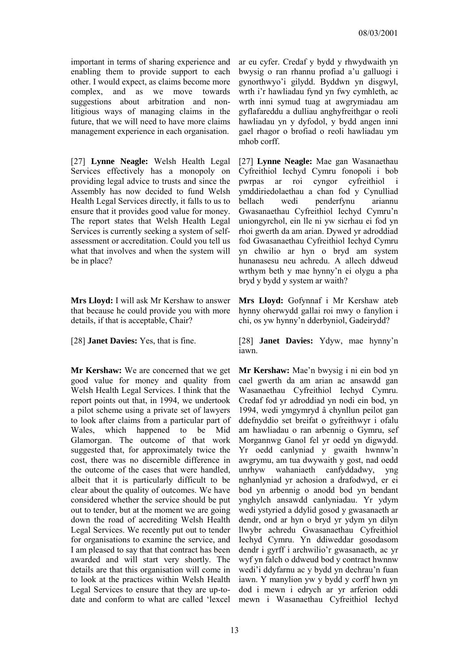important in terms of sharing experience and enabling them to provide support to each other. I would expect, as claims become more complex, and as we move towards suggestions about arbitration and nonlitigious ways of managing claims in the future, that we will need to have more claims management experience in each organisation.

[27] **Lynne Neagle:** Welsh Health Legal Services effectively has a monopoly on providing legal advice to trusts and since the Assembly has now decided to fund Welsh Health Legal Services directly, it falls to us to ensure that it provides good value for money. The report states that Welsh Health Legal Services is currently seeking a system of selfassessment or accreditation. Could you tell us what that involves and when the system will be in place?

**Mrs Lloyd:** I will ask Mr Kershaw to answer that because he could provide you with more details, if that is acceptable, Chair?

**Mr Kershaw:** We are concerned that we get good value for money and quality from Welsh Health Legal Services. I think that the report points out that, in 1994, we undertook a pilot scheme using a private set of lawyers to look after claims from a particular part of Wales, which happened to be Mid Glamorgan. The outcome of that work suggested that, for approximately twice the cost, there was no discernible difference in the outcome of the cases that were handled, albeit that it is particularly difficult to be clear about the quality of outcomes. We have considered whether the service should be put out to tender, but at the moment we are going down the road of accrediting Welsh Health Legal Services. We recently put out to tender for organisations to examine the service, and I am pleased to say that that contract has been awarded and will start very shortly. The details are that this organisation will come in to look at the practices within Welsh Health Legal Services to ensure that they are up-todate and conform to what are called 'lexcel

ar eu cyfer. Credaf y bydd y rhwydwaith yn bwysig o ran rhannu profiad a'u galluogi i gynorthwyo'i gilydd. Byddwn yn disgwyl, wrth i'r hawliadau fynd yn fwy cymhleth, ac wrth inni symud tuag at awgrymiadau am gyflafareddu a dulliau anghyfreithgar o reoli hawliadau yn y dyfodol, y bydd angen inni gael rhagor o brofiad o reoli hawliadau ym mhob corff.

[27] **Lynne Neagle:** Mae gan Wasanaethau Cyfreithiol Iechyd Cymru fonopoli i bob pwrpas ar roi cyngor cyfreithiol i ymddiriedolaethau a chan fod y Cynulliad bellach wedi penderfynu ariannu Gwasanaethau Cyfreithiol Iechyd Cymru'n uniongyrchol, ein lle ni yw sicrhau ei fod yn rhoi gwerth da am arian. Dywed yr adroddiad fod Gwasanaethau Cyfreithiol Iechyd Cymru yn chwilio ar hyn o bryd am system hunanasesu neu achredu. A allech ddweud wrthym beth y mae hynny'n ei olygu a pha bryd y bydd y system ar waith?

**Mrs Lloyd:** Gofynnaf i Mr Kershaw ateb hynny oherwydd gallai roi mwy o fanylion i chi, os yw hynny'n dderbyniol, Gadeirydd?

[28] **Janet Davies:** Yes, that is fine. [28] **Janet Davies:** Ydyw, mae hynny'n iawn.

> **Mr Kershaw:** Mae'n bwysig i ni ein bod yn cael gwerth da am arian ac ansawdd gan Wasanaethau Cyfreithiol Iechyd Cymru. Credaf fod yr adroddiad yn nodi ein bod, yn 1994, wedi ymgymryd â chynllun peilot gan ddefnyddio set breifat o gyfreithwyr i ofalu am hawliadau o ran arbennig o Gymru, sef Morgannwg Ganol fel yr oedd yn digwydd. Yr oedd canlyniad y gwaith hwnnw'n awgrymu, am tua dwywaith y gost, nad oedd unrhyw wahaniaeth canfyddadwy, yng nghanlyniad yr achosion a drafodwyd, er ei bod yn arbennig o anodd bod yn bendant ynghylch ansawdd canlyniadau. Yr ydym wedi ystyried a ddylid gosod y gwasanaeth ar dendr, ond ar hyn o bryd yr ydym yn dilyn llwybr achredu Gwasanaethau Cyfreithiol Iechyd Cymru. Yn ddiweddar gosodasom dendr i gyrff i archwilio'r gwasanaeth, ac yr wyf yn falch o ddweud bod y contract hwnnw wedi'i ddyfarnu ac y bydd yn dechrau'n fuan iawn. Y manylion yw y bydd y corff hwn yn dod i mewn i edrych ar yr arferion oddi mewn i Wasanaethau Cyfreithiol Iechyd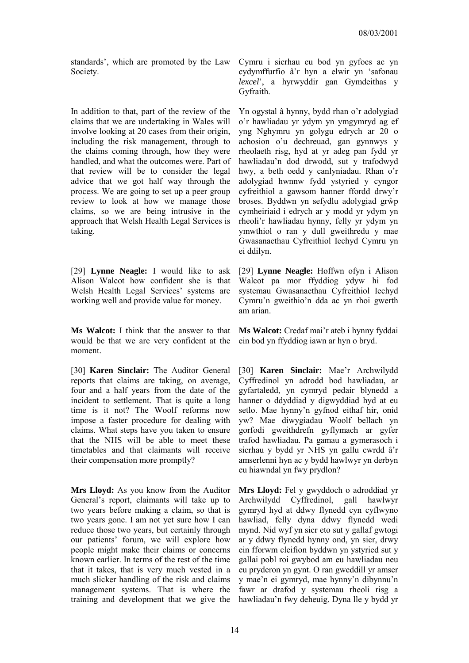standards', which are promoted by the Law Society.

In addition to that, part of the review of the claims that we are undertaking in Wales will involve looking at 20 cases from their origin, including the risk management, through to the claims coming through, how they were handled, and what the outcomes were. Part of that review will be to consider the legal advice that we got half way through the process. We are going to set up a peer group review to look at how we manage those claims, so we are being intrusive in the approach that Welsh Health Legal Services is taking.

[29] **Lynne Neagle:** I would like to ask Alison Walcot how confident she is that Welsh Health Legal Services' systems are working well and provide value for money.

**Ms Walcot:** I think that the answer to that would be that we are very confident at the moment.

[30] **Karen Sinclair:** The Auditor General reports that claims are taking, on average, four and a half years from the date of the incident to settlement. That is quite a long time is it not? The Woolf reforms now impose a faster procedure for dealing with claims. What steps have you taken to ensure that the NHS will be able to meet these timetables and that claimants will receive their compensation more promptly?

**Mrs Lloyd:** As you know from the Auditor General's report, claimants will take up to two years before making a claim, so that is two years gone. I am not yet sure how I can reduce those two years, but certainly through our patients' forum, we will explore how people might make their claims or concerns known earlier. In terms of the rest of the time that it takes, that is very much vested in a much slicker handling of the risk and claims management systems. That is where the training and development that we give the

Cymru i sicrhau eu bod yn gyfoes ac yn cydymffurfio â'r hyn a elwir yn 'safonau *lexcel*', a hyrwyddir gan Gymdeithas y Gyfraith.

Yn ogystal â hynny, bydd rhan o'r adolygiad o'r hawliadau yr ydym yn ymgymryd ag ef yng Nghymru yn golygu edrych ar 20 o achosion o'u dechreuad, gan gynnwys y rheolaeth risg, hyd at yr adeg pan fydd yr hawliadau'n dod drwodd, sut y trafodwyd hwy, a beth oedd y canlyniadau. Rhan o'r adolygiad hwnnw fydd ystyried y cyngor cyfreithiol a gawsom hanner ffordd drwy'r broses. Byddwn yn sefydlu adolygiad grŵp cymheiriaid i edrych ar y modd yr ydym yn rheoli'r hawliadau hynny, felly yr ydym yn ymwthiol o ran y dull gweithredu y mae Gwasanaethau Cyfreithiol Iechyd Cymru yn ei ddilyn.

[29] **Lynne Neagle:** Hoffwn ofyn i Alison Walcot pa mor ffyddiog ydyw hi fod systemau Gwasanaethau Cyfreithiol Iechyd Cymru'n gweithio'n dda ac yn rhoi gwerth am arian.

**Ms Walcot:** Credaf mai'r ateb i hynny fyddai ein bod yn ffyddiog iawn ar hyn o bryd.

[30] **Karen Sinclair:** Mae'r Archwilydd Cyffredinol yn adrodd bod hawliadau, ar gyfartaledd, yn cymryd pedair blynedd a hanner o ddyddiad y digwyddiad hyd at eu setlo. Mae hynny'n gyfnod eithaf hir, onid yw? Mae diwygiadau Woolf bellach yn gorfodi gweithdrefn gyflymach ar gyfer trafod hawliadau. Pa gamau a gymerasoch i sicrhau y bydd yr NHS yn gallu cwrdd â'r amserlenni hyn ac y bydd hawlwyr yn derbyn eu hiawndal yn fwy prydlon?

**Mrs Lloyd:** Fel y gwyddoch o adroddiad yr Archwilydd Cyffredinol, gall hawlwyr gymryd hyd at ddwy flynedd cyn cyflwyno hawliad, felly dyna ddwy flynedd wedi mynd. Nid wyf yn sicr eto sut y gallaf gwtogi ar y ddwy flynedd hynny ond, yn sicr, drwy ein fforwm cleifion byddwn yn ystyried sut y gallai pobl roi gwybod am eu hawliadau neu eu pryderon yn gynt. O ran gweddill yr amser y mae'n ei gymryd, mae hynny'n dibynnu'n fawr ar drafod y systemau rheoli risg a hawliadau'n fwy deheuig. Dyna lle y bydd yr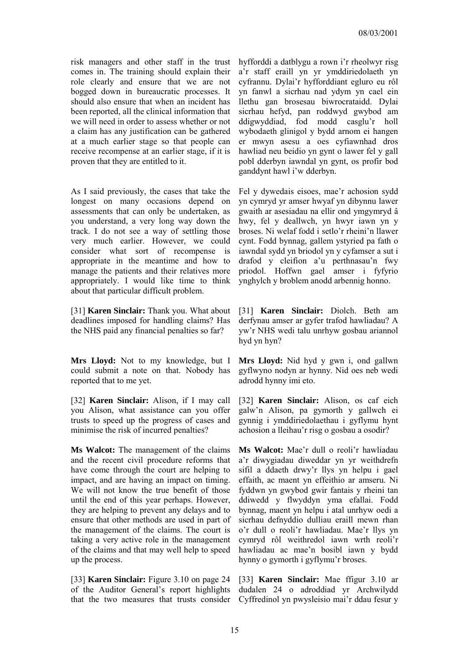risk managers and other staff in the trust comes in. The training should explain their role clearly and ensure that we are not bogged down in bureaucratic processes. It should also ensure that when an incident has been reported, all the clinical information that we will need in order to assess whether or not a claim has any justification can be gathered at a much earlier stage so that people can receive recompense at an earlier stage, if it is proven that they are entitled to it.

As I said previously, the cases that take the longest on many occasions depend on assessments that can only be undertaken, as you understand, a very long way down the track. I do not see a way of settling those very much earlier. However, we could consider what sort of recompense is appropriate in the meantime and how to manage the patients and their relatives more appropriately. I would like time to think about that particular difficult problem.

[31] **Karen Sinclair:** Thank you. What about deadlines imposed for handling claims? Has the NHS paid any financial penalties so far?

**Mrs Lloyd:** Not to my knowledge, but I could submit a note on that. Nobody has reported that to me yet.

[32] **Karen Sinclair:** Alison, if I may call you Alison, what assistance can you offer trusts to speed up the progress of cases and minimise the risk of incurred penalties?

**Ms Walcot:** The management of the claims and the recent civil procedure reforms that have come through the court are helping to impact, and are having an impact on timing. We will not know the true benefit of those until the end of this year perhaps. However, they are helping to prevent any delays and to ensure that other methods are used in part of the management of the claims. The court is taking a very active role in the management of the claims and that may well help to speed up the process.

[33] **Karen Sinclair:** Figure 3.10 on page 24 of the Auditor General's report highlights that the two measures that trusts consider hyfforddi a datblygu a rown i'r rheolwyr risg a'r staff eraill yn yr ymddiriedolaeth yn cyfrannu. Dylai'r hyfforddiant egluro eu rôl yn fanwl a sicrhau nad ydym yn cael ein llethu gan brosesau biwrocrataidd. Dylai sicrhau hefyd, pan roddwyd gwybod am ddigwyddiad, fod modd casglu'r holl wybodaeth glinigol y bydd arnom ei hangen er mwyn asesu a oes cyfiawnhad dros hawliad neu beidio yn gynt o lawer fel y gall pobl dderbyn iawndal yn gynt, os profir bod ganddynt hawl i'w dderbyn.

Fel y dywedais eisoes, mae'r achosion sydd yn cymryd yr amser hwyaf yn dibynnu lawer gwaith ar asesiadau na ellir ond ymgymryd â hwy, fel y deallwch, yn hwyr iawn yn y broses. Ni welaf fodd i setlo'r rheini'n llawer cynt. Fodd bynnag, gallem ystyried pa fath o iawndal sydd yn briodol yn y cyfamser a sut i drafod y cleifion a'u perthnasau'n fwy priodol. Hoffwn gael amser i fyfyrio ynghylch y broblem anodd arbennig honno.

[31] **Karen Sinclair:** Diolch. Beth am derfynau amser ar gyfer trafod hawliadau? A yw'r NHS wedi talu unrhyw gosbau ariannol hyd yn hyn?

**Mrs Lloyd:** Nid hyd y gwn i, ond gallwn gyflwyno nodyn ar hynny. Nid oes neb wedi adrodd hynny imi eto.

[32] **Karen Sinclair:** Alison, os caf eich galw'n Alison, pa gymorth y gallwch ei gynnig i ymddiriedolaethau i gyflymu hynt achosion a lleihau'r risg o gosbau a osodir?

**Ms Walcot:** Mae'r dull o reoli'r hawliadau a'r diwygiadau diweddar yn yr weithdrefn sifil a ddaeth drwy'r llys yn helpu i gael effaith, ac maent yn effeithio ar amseru. Ni fyddwn yn gwybod gwir fantais y rheini tan ddiwedd y flwyddyn yma efallai. Fodd bynnag, maent yn helpu i atal unrhyw oedi a sicrhau defnyddio dulliau eraill mewn rhan o'r dull o reoli'r hawliadau. Mae'r llys yn cymryd rôl weithredol iawn wrth reoli'r hawliadau ac mae'n bosibl iawn y bydd hynny o gymorth i gyflymu'r broses.

[33] **Karen Sinclair:** Mae ffigur 3.10 ar dudalen 24 o adroddiad yr Archwilydd Cyffredinol yn pwysleisio mai'r ddau fesur y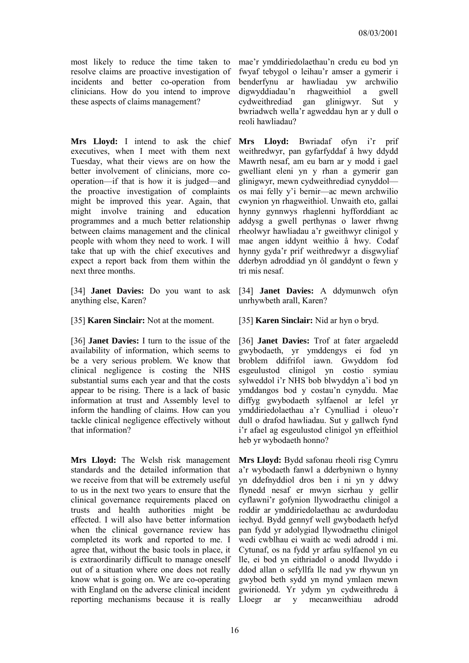most likely to reduce the time taken to resolve claims are proactive investigation of incidents and better co-operation from clinicians. How do you intend to improve these aspects of claims management?

**Mrs Lloyd:** I intend to ask the chief executives, when I meet with them next Tuesday, what their views are on how the better involvement of clinicians, more cooperation—if that is how it is judged—and the proactive investigation of complaints might be improved this year. Again, that might involve training and education programmes and a much better relationship between claims management and the clinical people with whom they need to work. I will take that up with the chief executives and expect a report back from them within the next three months.

[34] **Janet Davies:** Do you want to ask anything else, Karen?

[35] **Karen Sinclair:** Not at the moment. [35] **Karen Sinclair:** Nid ar hyn o bryd.

[36] **Janet Davies:** I turn to the issue of the availability of information, which seems to be a very serious problem. We know that clinical negligence is costing the NHS substantial sums each year and that the costs appear to be rising. There is a lack of basic information at trust and Assembly level to inform the handling of claims. How can you tackle clinical negligence effectively without that information?

**Mrs Lloyd:** The Welsh risk management standards and the detailed information that we receive from that will be extremely useful to us in the next two years to ensure that the clinical governance requirements placed on trusts and health authorities might be effected. I will also have better information when the clinical governance review has completed its work and reported to me. I agree that, without the basic tools in place, it is extraordinarily difficult to manage oneself out of a situation where one does not really know what is going on. We are co-operating with England on the adverse clinical incident

mae'r ymddiriedolaethau'n credu eu bod yn fwyaf tebygol o leihau'r amser a gymerir i benderfynu ar hawliadau yw archwilio digwyddiadau'n rhagweithiol a gwell cydweithrediad gan glinigwyr. Sut y bwriadwch wella'r agweddau hyn ar y dull o reoli hawliadau?

**Mrs Lloyd:** Bwriadaf ofyn i'r prif weithredwyr, pan gyfarfyddaf â hwy ddydd Mawrth nesaf, am eu barn ar y modd i gael gwelliant eleni yn y rhan a gymerir gan glinigwyr, mewn cydweithrediad cynyddol os mai felly y'i bernir—ac mewn archwilio cwynion yn rhagweithiol. Unwaith eto, gallai hynny gynnwys rhaglenni hyfforddiant ac addysg a gwell perthynas o lawer rhwng rheolwyr hawliadau a'r gweithwyr clinigol y mae angen iddynt weithio â hwy. Codaf hynny gyda'r prif weithredwyr a disgwyliaf dderbyn adroddiad yn ôl ganddynt o fewn y tri mis nesaf.

[34] **Janet Davies:** A ddymunwch ofyn unrhywbeth arall, Karen?

[36] **Janet Davies:** Trof at fater argaeledd gwybodaeth, yr ymddengys ei fod yn broblem ddifrifol iawn. Gwyddom fod esgeulustod clinigol yn costio symiau sylweddol i'r NHS bob blwyddyn a'i bod yn ymddangos bod y costau'n cynyddu. Mae diffyg gwybodaeth sylfaenol ar lefel yr ymddiriedolaethau a'r Cynulliad i oleuo'r dull o drafod hawliadau. Sut y gallwch fynd i'r afael ag esgeulustod clinigol yn effeithiol heb yr wybodaeth honno?

reporting mechanisms because it is really Lloegr ar y mecanweithiau adrodd**Mrs Lloyd:** Bydd safonau rheoli risg Cymru a'r wybodaeth fanwl a dderbyniwn o hynny yn ddefnyddiol dros ben i ni yn y ddwy flynedd nesaf er mwyn sicrhau y gellir cyflawni'r gofynion llywodraethu clinigol a roddir ar ymddiriedolaethau ac awdurdodau iechyd. Bydd gennyf well gwybodaeth hefyd pan fydd yr adolygiad llywodraethu clinigol wedi cwblhau ei waith ac wedi adrodd i mi. Cytunaf, os na fydd yr arfau sylfaenol yn eu lle, ei bod yn eithriadol o anodd llwyddo i ddod allan o sefyllfa lle nad yw rhywun yn gwybod beth sydd yn mynd ymlaen mewn gwirionedd. Yr ydym yn cydweithredu â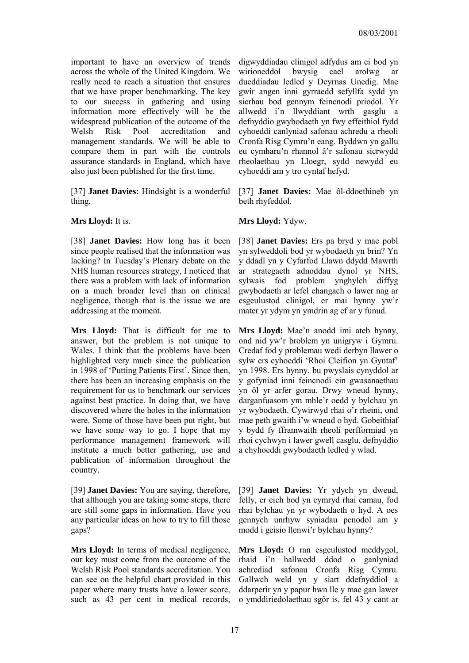important to have an overview of trends across the whole of the United Kingdom. We really need to reach a situation that ensures that we have proper benchmarking. The key to our success in gathering and using information more effectively will be the widespread publication of the outcome of the Welsh Risk Pool accreditation and management standards. We will be able to compare them in part with the controls assurance standards in England, which have also just been published for the first time.

[37] **Janet Davies:** Hindsight is a wonderful thing.

[38] **Janet Davies:** How long has it been since people realised that the information was lacking? In Tuesday's Plenary debate on the NHS human resources strategy, I noticed that there was a problem with lack of information on a much broader level than on clinical negligence, though that is the issue we are addressing at the moment.

**Mrs Lloyd:** That is difficult for me to answer, but the problem is not unique to Wales. I think that the problems have been highlighted very much since the publication in 1998 of 'Putting Patients First'. Since then, there has been an increasing emphasis on the requirement for us to benchmark our services against best practice. In doing that, we have discovered where the holes in the information were. Some of those have been put right, but we have some way to go. I hope that my performance management framework will institute a much better gathering, use and publication of information throughout the country.

[39] **Janet Davies:** You are saying, therefore, that although you are taking some steps, there are still some gaps in information. Have you any particular ideas on how to try to fill those gaps?

**Mrs Lloyd:** In terms of medical negligence, our key must come from the outcome of the Welsh Risk Pool standards accreditation. You can see on the helpful chart provided in this paper where many trusts have a lower score, such as 43 per cent in medical records, digwyddiadau clinigol adfydus am ei bod yn wirioneddol bwysig cael arolwg ar dueddiadau ledled y Deyrnas Unedig. Mae gwir angen inni gyrraedd sefyllfa sydd yn sicrhau bod gennym feincnodi priodol. Yr allwedd i'n llwyddiant wrth gasglu a defnyddio gwybodaeth yn fwy effeithiol fydd cyhoeddi canlyniad safonau achredu a rheoli Cronfa Risg Cymru'n eang. Byddwn yn gallu eu cymharu'n rhannol â'r safonau sicrwydd rheolaethau yn Lloegr, sydd newydd eu cyhoeddi am y tro cyntaf hefyd.

[37] **Janet Davies:** Mae ôl-ddoethineb yn beth rhyfeddol.

### **Mrs Lloyd:** It is. **Mrs Lloyd:** Ydyw.

[38] **Janet Davies:** Ers pa bryd y mae pobl yn sylweddoli bod yr wybodaeth yn brin? Yn y ddadl yn y Cyfarfod Llawn ddydd Mawrth ar strategaeth adnoddau dynol yr NHS, sylwais fod problem ynghylch diffyg gwybodaeth ar lefel ehangach o lawer nag ar esgeulustod clinigol, er mai hynny yw'r mater yr ydym yn ymdrin ag ef ar y funud.

**Mrs Lloyd:** Mae'n anodd imi ateb hynny, ond nid yw'r broblem yn unigryw i Gymru. Credaf fod y problemau wedi derbyn llawer o sylw ers cyhoeddi 'Rhoi Cleifion yn Gyntaf' yn 1998. Ers hynny, bu pwyslais cynyddol ar y gofyniad inni feincnodi ein gwasanaethau yn ôl yr arfer gorau. Drwy wneud hynny, darganfuasom ym mhle'r oedd y bylchau yn yr wybodaeth. Cywirwyd rhai o'r rheini, ond mae peth gwaith i'w wneud o hyd. Gobeithiaf y bydd fy fframwaith rheoli perfformiad yn rhoi cychwyn i lawer gwell casglu, defnyddio a chyhoeddi gwybodaeth ledled y wlad.

[39] **Janet Davies:** Yr ydych yn dweud, felly, er eich bod yn cymryd rhai camau, fod rhai bylchau yn yr wybodaeth o hyd. A oes gennych unrhyw syniadau penodol am y modd i geisio llenwi'r bylchau hynny?

**Mrs Lloyd:** O ran esgeulustod meddygol, rhaid i'n hallwedd ddod o ganlyniad achrediad safonau Cronfa Risg Cymru. Gallwch weld yn y siart ddefnyddiol a ddarperir yn y papur hwn lle y mae gan lawer o ymddiriedolaethau sgôr is, fel 43 y cant ar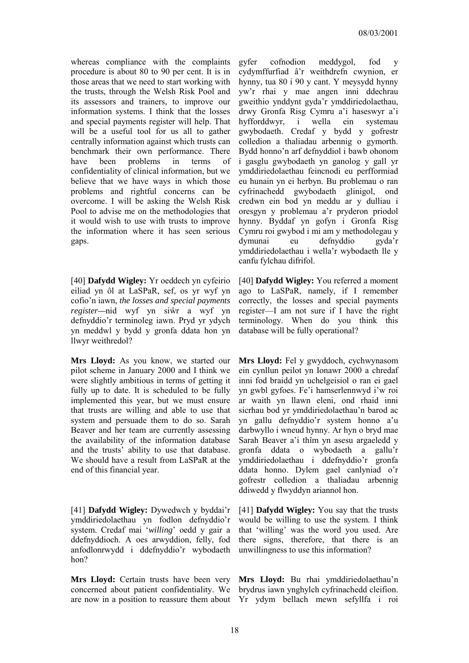whereas compliance with the complaints procedure is about 80 to 90 per cent. It is in those areas that we need to start working with the trusts, through the Welsh Risk Pool and its assessors and trainers, to improve our information systems. I think that the losses and special payments register will help. That will be a useful tool for us all to gather centrally information against which trusts can benchmark their own performance. There have been problems in terms of confidentiality of clinical information, but we believe that we have ways in which those problems and rightful concerns can be overcome. I will be asking the Welsh Risk Pool to advise me on the methodologies that it would wish to use with trusts to improve the information where it has seen serious gaps.

[40] **Dafydd Wigley:** Yr oeddech yn cyfeirio eiliad yn ôl at LaSPaR, sef, os yr wyf yn cofio'n iawn, *the losses and special payments register—*nid wyf yn siŵr a wyf yn defnyddio'r terminoleg iawn. Pryd yr ydych yn meddwl y bydd y gronfa ddata hon yn llwyr weithredol?

**Mrs Lloyd:** As you know, we started our pilot scheme in January 2000 and I think we were slightly ambitious in terms of getting it fully up to date. It is scheduled to be fully implemented this year, but we must ensure that trusts are willing and able to use that system and persuade them to do so. Sarah Beaver and her team are currently assessing the availability of the information database and the trusts' ability to use that database. We should have a result from LaSPaR at the end of this financial year.

[41] **Dafydd Wigley:** Dywedwch y byddai'r ymddiriedolaethau yn fodlon defnyddio'r system. Credaf mai '*willing*' oedd y gair a ddefnyddioch. A oes arwyddion, felly, fod anfodlonrwydd i ddefnyddio'r wybodaeth hon?

**Mrs Lloyd:** Certain trusts have been very **Mrs Lloyd:** Bu rhai ymddiriedolaethau'n concerned about patient confidentiality. We brydrus iawn ynghylch cyfrinachedd cleifion. are now in a position to reassure them about Yr ydym bellach mewn sefyllfa i roi

gyfer cofnodion meddygol, fod y cydymffurfiad â'r weithdrefn cwynion, er hynny, tua 80 i 90 y cant. Y meysydd hynny yw'r rhai y mae angen inni ddechrau gweithio ynddynt gyda'r ymddiriedolaethau, drwy Gronfa Risg Cymru a'i haseswyr a'i hyfforddwyr, i wella ein systemau gwybodaeth. Credaf y bydd y gofrestr colledion a thaliadau arbennig o gymorth. Bydd honno'n arf defnyddiol i bawb ohonom i gasglu gwybodaeth yn ganolog y gall yr ymddiriedolaethau feincnodi eu perfformiad eu hunain yn ei herbyn. Bu problemau o ran cyfrinachedd gwybodaeth glinigol, ond credwn ein bod yn meddu ar y dulliau i oresgyn y problemau a'r pryderon priodol hynny. Byddaf yn gofyn i Gronfa Risg Cymru roi gwybod i mi am y methodolegau y dymunai eu defnyddio gyda'r ymddiriedolaethau i wella'r wybodaeth lle y canfu fylchau difrifol.

[40] **Dafydd Wigley:** You referred a moment ago to LaSPaR, namely, if I remember correctly, the losses and special payments register—I am not sure if I have the right terminology. When do you think this database will be fully operational?

**Mrs Lloyd:** Fel y gwyddoch, cychwynasom ein cynllun peilot yn Ionawr 2000 a chredaf inni fod braidd yn uchelgeisiol o ran ei gael yn gwbl gyfoes. Fe'i hamserlennwyd i'w roi ar waith yn llawn eleni, ond rhaid inni sicrhau bod yr ymddiriedolaethau'n barod ac yn gallu defnyddio'r system honno a'u darbwyllo i wneud hynny. Ar hyn o bryd mae Sarah Beaver a'i thîm yn asesu argaeledd y gronfa ddata o wybodaeth a gallu'r ymddiriedolaethau i ddefnyddio'r gronfa ddata honno. Dylem gael canlyniad o'r gofrestr colledion a thaliadau arbennig ddiwedd y flwyddyn ariannol hon.

[41] **Dafydd Wigley:** You say that the trusts would be willing to use the system. I think that 'willing' was the word you used. Are there signs, therefore, that there is an unwillingness to use this information?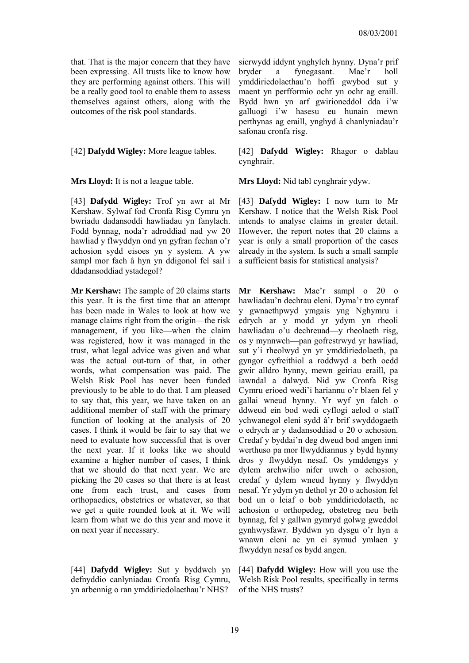that. That is the major concern that they have been expressing. All trusts like to know how they are performing against others. This will be a really good tool to enable them to assess themselves against others, along with the outcomes of the risk pool standards.

[43] **Dafydd Wigley:** Trof yn awr at Mr Kershaw. Sylwaf fod Cronfa Risg Cymru yn bwriadu dadansoddi hawliadau yn fanylach. Fodd bynnag, noda'r adroddiad nad yw 20 hawliad y flwyddyn ond yn gyfran fechan o'r achosion sydd eisoes yn y system. A yw sampl mor fach â hyn yn ddigonol fel sail i ddadansoddiad ystadegol?

**Mr Kershaw:** The sample of 20 claims starts this year. It is the first time that an attempt has been made in Wales to look at how we manage claims right from the origin—the risk management, if you like—when the claim was registered, how it was managed in the trust, what legal advice was given and what was the actual out-turn of that, in other words, what compensation was paid. The Welsh Risk Pool has never been funded previously to be able to do that. I am pleased to say that, this year, we have taken on an additional member of staff with the primary function of looking at the analysis of 20 cases. I think it would be fair to say that we need to evaluate how successful that is over the next year. If it looks like we should examine a higher number of cases, I think that we should do that next year. We are picking the 20 cases so that there is at least one from each trust, and cases from orthopaedics, obstetrics or whatever, so that we get a quite rounded look at it. We will learn from what we do this year and move it on next year if necessary.

[44] **Dafydd Wigley:** Sut y byddwch yn defnyddio canlyniadau Cronfa Risg Cymru, yn arbennig o ran ymddiriedolaethau'r NHS?

sicrwydd iddynt ynghylch hynny. Dyna'r prif bryder a fynegasant. Mae'r holl ymddiriedolaethau'n hoffi gwybod sut y maent yn perfformio ochr yn ochr ag eraill. Bydd hwn yn arf gwirioneddol dda i'w galluogi i'w hasesu eu hunain mewn perthynas ag eraill, ynghyd â chanlyniadau'r safonau cronfa risg.

[42] **Dafydd Wigley:** More league tables. [42] **Dafydd Wigley:** Rhagor o dablau cynghrair.

**Mrs Lloyd:** It is not a league table. **Mrs Lloyd:** Nid tabl cynghrair ydyw.

[43] **Dafydd Wigley:** I now turn to Mr Kershaw. I notice that the Welsh Risk Pool intends to analyse claims in greater detail. However, the report notes that 20 claims a year is only a small proportion of the cases already in the system. Is such a small sample a sufficient basis for statistical analysis?

**Mr Kershaw:** Mae'r sampl o 20 o hawliadau'n dechrau eleni. Dyma'r tro cyntaf y gwnaethpwyd ymgais yng Nghymru i edrych ar y modd yr ydym yn rheoli hawliadau o'u dechreuad—y rheolaeth risg, os y mynnwch—pan gofrestrwyd yr hawliad, sut y'i rheolwyd yn yr ymddiriedolaeth, pa gyngor cyfreithiol a roddwyd a beth oedd gwir alldro hynny, mewn geiriau eraill, pa iawndal a dalwyd. Nid yw Cronfa Risg Cymru erioed wedi'i hariannu o'r blaen fel y gallai wneud hynny. Yr wyf yn falch o ddweud ein bod wedi cyflogi aelod o staff ychwanegol eleni sydd â'r brif swyddogaeth o edrych ar y dadansoddiad o 20 o achosion. Credaf y byddai'n deg dweud bod angen inni werthuso pa mor llwyddiannus y bydd hynny dros y flwyddyn nesaf. Os ymddengys y dylem archwilio nifer uwch o achosion, credaf y dylem wneud hynny y flwyddyn nesaf. Yr ydym yn dethol yr 20 o achosion fel bod un o leiaf o bob ymddiriedolaeth, ac achosion o orthopedeg, obstetreg neu beth bynnag, fel y gallwn gymryd golwg gweddol gynhwysfawr. Byddwn yn dysgu o'r hyn a wnawn eleni ac yn ei symud ymlaen y flwyddyn nesaf os bydd angen.

[44] **Dafydd Wigley:** How will you use the Welsh Risk Pool results, specifically in terms of the NHS trusts?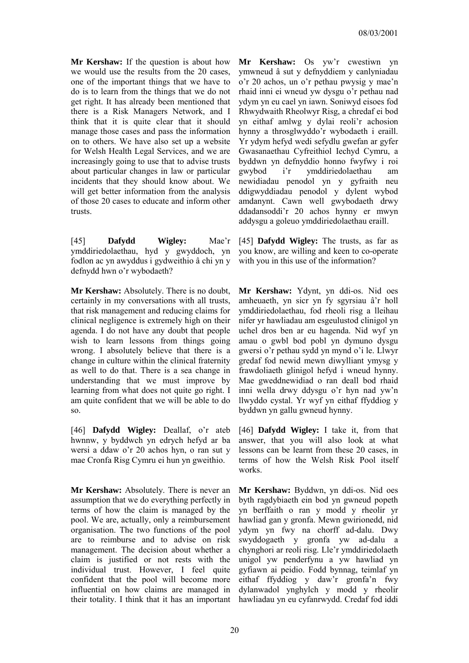**Mr Kershaw:** If the question is about how we would use the results from the 20 cases, one of the important things that we have to do is to learn from the things that we do not get right. It has already been mentioned that there is a Risk Managers Network, and I think that it is quite clear that it should manage those cases and pass the information on to others. We have also set up a website for Welsh Health Legal Services, and we are increasingly going to use that to advise trusts about particular changes in law or particular incidents that they should know about. We will get better information from the analysis of those 20 cases to educate and inform other trusts.

[45] **Dafydd Wigley:** Mae'r ymddiriedolaethau, hyd y gwyddoch, yn fodlon ac yn awyddus i gydweithio â chi yn y defnydd hwn o'r wybodaeth?

**Mr Kershaw:** Absolutely. There is no doubt, certainly in my conversations with all trusts, that risk management and reducing claims for clinical negligence is extremely high on their agenda. I do not have any doubt that people wish to learn lessons from things going wrong. I absolutely believe that there is a change in culture within the clinical fraternity as well to do that. There is a sea change in understanding that we must improve by learning from what does not quite go right. I am quite confident that we will be able to do so.

[46] **Dafydd Wigley:** Deallaf, o'r ateb hwnnw, y byddwch yn edrych hefyd ar ba wersi a ddaw o'r 20 achos hyn, o ran sut y mae Cronfa Risg Cymru ei hun yn gweithio.

**Mr Kershaw:** Absolutely. There is never an assumption that we do everything perfectly in terms of how the claim is managed by the pool. We are, actually, only a reimbursement organisation. The two functions of the pool are to reimburse and to advise on risk management. The decision about whether a claim is justified or not rests with the individual trust. However, I feel quite confident that the pool will become more influential on how claims are managed in their totality. I think that it has an important

**Mr Kershaw:** Os yw'r cwestiwn yn ymwneud â sut y defnyddiem y canlyniadau o'r 20 achos, un o'r pethau pwysig y mae'n rhaid inni ei wneud yw dysgu o'r pethau nad ydym yn eu cael yn iawn. Soniwyd eisoes fod Rhwydwaith Rheolwyr Risg, a chredaf ei bod yn eithaf amlwg y dylai reoli'r achosion hynny a throsglwyddo'r wybodaeth i eraill. Yr ydym hefyd wedi sefydlu gwefan ar gyfer Gwasanaethau Cyfreithiol Iechyd Cymru, a byddwn yn defnyddio honno fwyfwy i roi gwybod i'r ymddiriedolaethau am newidiadau penodol yn y gyfraith neu ddigwyddiadau penodol y dylent wybod amdanynt. Cawn well gwybodaeth drwy ddadansoddi'r 20 achos hynny er mwyn addysgu a goleuo ymddiriedolaethau eraill.

[45] **Dafydd Wigley:** The trusts, as far as you know, are willing and keen to co-operate with you in this use of the information?

**Mr Kershaw:** Ydynt, yn ddi-os. Nid oes amheuaeth, yn sicr yn fy sgyrsiau â'r holl ymddiriedolaethau, fod rheoli risg a lleihau nifer yr hawliadau am esgeulustod clinigol yn uchel dros ben ar eu hagenda. Nid wyf yn amau o gwbl bod pobl yn dymuno dysgu gwersi o'r pethau sydd yn mynd o'i le. Llwyr gredaf fod newid mewn diwylliant ymysg y frawdoliaeth glinigol hefyd i wneud hynny. Mae gweddnewidiad o ran deall bod rhaid inni wella drwy ddysgu o'r hyn nad yw'n llwyddo cystal. Yr wyf yn eithaf ffyddiog y byddwn yn gallu gwneud hynny.

[46] **Dafydd Wigley:** I take it, from that answer, that you will also look at what lessons can be learnt from these 20 cases, in terms of how the Welsh Risk Pool itself works.

**Mr Kershaw:** Byddwn, yn ddi-os. Nid oes byth ragdybiaeth ein bod yn gwneud popeth yn berffaith o ran y modd y rheolir yr hawliad gan y gronfa. Mewn gwirionedd, nid ydym yn fwy na chorff ad-dalu. Dwy swyddogaeth y gronfa yw ad-dalu a chynghori ar reoli risg. Lle'r ymddiriedolaeth unigol yw penderfynu a yw hawliad yn gyfiawn ai peidio. Fodd bynnag, teimlaf yn eithaf ffyddiog y daw'r gronfa'n fwy dylanwadol ynghylch y modd y rheolir hawliadau yn eu cyfanrwydd. Credaf fod iddi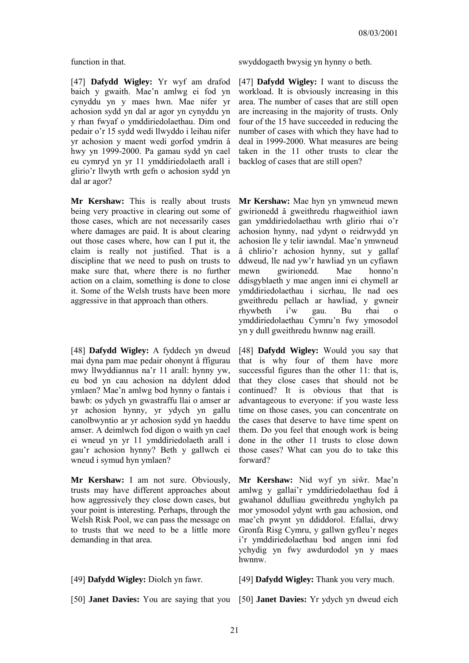[47] **Dafydd Wigley:** Yr wyf am drafod baich y gwaith. Mae'n amlwg ei fod yn cynyddu yn y maes hwn. Mae nifer yr achosion sydd yn dal ar agor yn cynyddu yn y rhan fwyaf o ymddiriedolaethau. Dim ond pedair o'r 15 sydd wedi llwyddo i leihau nifer yr achosion y maent wedi gorfod ymdrin â hwy yn 1999-2000. Pa gamau sydd yn cael eu cymryd yn yr 11 ymddiriedolaeth arall i glirio'r llwyth wrth gefn o achosion sydd yn dal ar agor?

**Mr Kershaw:** This is really about trusts being very proactive in clearing out some of those cases, which are not necessarily cases where damages are paid. It is about clearing out those cases where, how can I put it, the claim is really not justified. That is a discipline that we need to push on trusts to make sure that, where there is no further action on a claim, something is done to close it. Some of the Welsh trusts have been more aggressive in that approach than others.

[48] **Dafydd Wigley:** A fyddech yn dweud mai dyna pam mae pedair ohonynt â ffigurau mwy llwyddiannus na'r 11 arall: hynny yw, eu bod yn cau achosion na ddylent ddod ymlaen? Mae'n amlwg bod hynny o fantais i bawb: os ydych yn gwastraffu llai o amser ar yr achosion hynny, yr ydych yn gallu canolbwyntio ar yr achosion sydd yn haeddu amser. A deimlwch fod digon o waith yn cael ei wneud yn yr 11 ymddiriedolaeth arall i gau'r achosion hynny? Beth y gallwch ei wneud i symud hyn ymlaen?

**Mr Kershaw:** I am not sure. Obviously, trusts may have different approaches about how aggressively they close down cases, but your point is interesting. Perhaps, through the Welsh Risk Pool, we can pass the message on to trusts that we need to be a little more demanding in that area.

[50] **Janet Davies:** You are saying that you [50] **Janet Davies:** Yr ydych yn dweud eich

function in that. swyddogaeth bwysig yn hynny o beth.

[47] **Dafydd Wigley:** I want to discuss the workload. It is obviously increasing in this area. The number of cases that are still open are increasing in the majority of trusts. Only four of the 15 have succeeded in reducing the number of cases with which they have had to deal in 1999-2000. What measures are being taken in the 11 other trusts to clear the backlog of cases that are still open?

**Mr Kershaw:** Mae hyn yn ymwneud mewn gwirionedd â gweithredu rhagweithiol iawn gan ymddiriedolaethau wrth glirio rhai o'r achosion hynny, nad ydynt o reidrwydd yn achosion lle y telir iawndal. Mae'n ymwneud â chlirio'r achosion hynny, sut y gallaf ddweud, lle nad yw'r hawliad yn un cyfiawn mewn gwirionedd. Mae honno'n ddisgyblaeth y mae angen inni ei chymell ar ymddiriedolaethau i sicrhau, lle nad oes gweithredu pellach ar hawliad, y gwneir rhywbeth i'w gau. Bu rhai o ymddiriedolaethau Cymru'n fwy ymosodol yn y dull gweithredu hwnnw nag eraill.

[48] **Dafydd Wigley:** Would you say that that is why four of them have more successful figures than the other 11: that is, that they close cases that should not be continued? It is obvious that that is advantageous to everyone: if you waste less time on those cases, you can concentrate on the cases that deserve to have time spent on them. Do you feel that enough work is being done in the other 11 trusts to close down those cases? What can you do to take this forward?

**Mr Kershaw:** Nid wyf yn siŵr. Mae'n amlwg y gallai'r ymddiriedolaethau fod â gwahanol ddulliau gweithredu ynghylch pa mor ymosodol ydynt wrth gau achosion, ond mae'ch pwynt yn ddiddorol. Efallai, drwy Gronfa Risg Cymru, y gallwn gyfleu'r neges i'r ymddiriedolaethau bod angen inni fod ychydig yn fwy awdurdodol yn y maes hwnnw.

[49] **Dafydd Wigley:** Diolch yn fawr. [49] **Dafydd Wigley:** Thank you very much.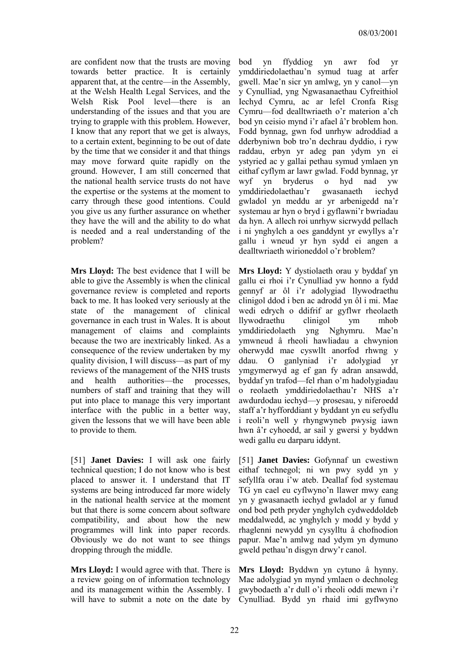are confident now that the trusts are moving towards better practice. It is certainly apparent that, at the centre—in the Assembly, at the Welsh Health Legal Services, and the Welsh Risk Pool level—there is an understanding of the issues and that you are trying to grapple with this problem. However, I know that any report that we get is always, to a certain extent, beginning to be out of date by the time that we consider it and that things may move forward quite rapidly on the ground. However, I am still concerned that the national health service trusts do not have the expertise or the systems at the moment to carry through these good intentions. Could you give us any further assurance on whether they have the will and the ability to do what is needed and a real understanding of the problem?

**Mrs Lloyd:** The best evidence that I will be able to give the Assembly is when the clinical governance review is completed and reports back to me. It has looked very seriously at the state of the management of clinical governance in each trust in Wales. It is about management of claims and complaints because the two are inextricably linked. As a consequence of the review undertaken by my quality division, I will discuss—as part of my reviews of the management of the NHS trusts and health authorities—the processes, numbers of staff and training that they will put into place to manage this very important interface with the public in a better way, given the lessons that we will have been able to provide to them.

[51] **Janet Davies:** I will ask one fairly technical question; I do not know who is best placed to answer it. I understand that IT systems are being introduced far more widely in the national health service at the moment but that there is some concern about software compatibility, and about how the new programmes will link into paper records. Obviously we do not want to see things dropping through the middle.

**Mrs Lloyd:** I would agree with that. There is a review going on of information technology and its management within the Assembly. I will have to submit a note on the date by bod yn ffyddiog yn awr fod yr ymddiriedolaethau'n symud tuag at arfer gwell. Mae'n sicr yn amlwg, yn y canol—yn y Cynulliad, yng Ngwasanaethau Cyfreithiol Iechyd Cymru, ac ar lefel Cronfa Risg Cymru—fod dealltwriaeth o'r materion a'ch bod yn ceisio mynd i'r afael â'r broblem hon. Fodd bynnag, gwn fod unrhyw adroddiad a dderbyniwn bob tro'n dechrau dyddio, i ryw raddau, erbyn yr adeg pan ydym yn ei ystyried ac y gallai pethau symud ymlaen yn eithaf cyflym ar lawr gwlad. Fodd bynnag, yr wyf yn bryderus o hyd nad yw ymddiriedolaethau'r gwasanaeth iechyd gwladol yn meddu ar yr arbenigedd na'r systemau ar hyn o bryd i gyflawni'r bwriadau da hyn. A allech roi unrhyw sicrwydd pellach i ni ynghylch a oes ganddynt yr ewyllys a'r gallu i wneud yr hyn sydd ei angen a dealltwriaeth wirioneddol o'r broblem?

**Mrs Lloyd:** Y dystiolaeth orau y byddaf yn gallu ei rhoi i'r Cynulliad yw honno a fydd gennyf ar ôl i'r adolygiad llywodraethu clinigol ddod i ben ac adrodd yn ôl i mi. Mae wedi edrych o ddifrif ar gyflwr rheolaeth llywodraethu clinigol ym mhob ymddiriedolaeth yng Nghymru. Mae'n ymwneud â rheoli hawliadau a chwynion oherwydd mae cyswllt anorfod rhwng y ddau. O ganlyniad i'r adolygiad yr ymgymerwyd ag ef gan fy adran ansawdd, byddaf yn trafod—fel rhan o'm hadolygiadau o reolaeth ymddiriedolaethau'r NHS a'r awdurdodau iechyd—y prosesau, y niferoedd staff a'r hyfforddiant y byddant yn eu sefydlu i reoli'n well y rhyngwyneb pwysig iawn hwn â'r cyhoedd, ar sail y gwersi y byddwn wedi gallu eu darparu iddynt.

[51] **Janet Davies:** Gofynnaf un cwestiwn eithaf technegol; ni wn pwy sydd yn y sefyllfa orau i'w ateb. Deallaf fod systemau TG yn cael eu cyflwyno'n llawer mwy eang yn y gwasanaeth iechyd gwladol ar y funud ond bod peth pryder ynghylch cydweddoldeb meddalwedd, ac ynghylch y modd y bydd y rhaglenni newydd yn cysylltu â chofnodion papur. Mae'n amlwg nad ydym yn dymuno gweld pethau'n disgyn drwy'r canol.

**Mrs Lloyd:** Byddwn yn cytuno â hynny. Mae adolygiad yn mynd ymlaen o dechnoleg gwybodaeth a'r dull o'i rheoli oddi mewn i'r Cynulliad. Bydd yn rhaid imi gyflwyno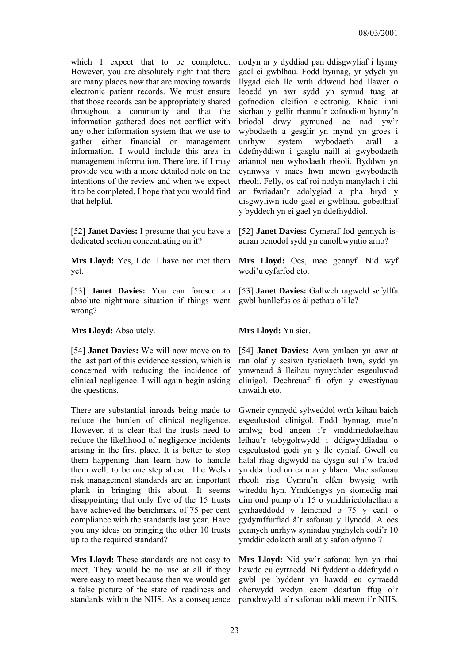which I expect that to be completed. However, you are absolutely right that there are many places now that are moving towards electronic patient records. We must ensure that those records can be appropriately shared throughout a community and that the information gathered does not conflict with any other information system that we use to gather either financial or management information. I would include this area in management information. Therefore, if I may provide you with a more detailed note on the intentions of the review and when we expect it to be completed, I hope that you would find that helpful.

[52] **Janet Davies:** I presume that you have a dedicated section concentrating on it?

**Mrs Lloyd:** Yes, I do. I have not met them yet.

[53] **Janet Davies:** You can foresee an absolute nightmare situation if things went wrong?

**Mrs Lloyd:** Absolutely. **Mrs Lloyd:** Yn sicr.

[54] **Janet Davies:** We will now move on to the last part of this evidence session, which is concerned with reducing the incidence of clinical negligence. I will again begin asking the questions.

There are substantial inroads being made to reduce the burden of clinical negligence. However, it is clear that the trusts need to reduce the likelihood of negligence incidents arising in the first place. It is better to stop them happening than learn how to handle them well: to be one step ahead. The Welsh risk management standards are an important plank in bringing this about. It seems disappointing that only five of the 15 trusts have achieved the benchmark of 75 per cent compliance with the standards last year. Have you any ideas on bringing the other 10 trusts up to the required standard?

**Mrs Lloyd:** These standards are not easy to meet. They would be no use at all if they were easy to meet because then we would get a false picture of the state of readiness and standards within the NHS. As a consequence nodyn ar y dyddiad pan ddisgwyliaf i hynny gael ei gwblhau. Fodd bynnag, yr ydych yn llygad eich lle wrth ddweud bod llawer o leoedd yn awr sydd yn symud tuag at gofnodion cleifion electronig. Rhaid inni sicrhau y gellir rhannu'r cofnodion hynny'n briodol drwy gymuned ac nad yw'r wybodaeth a gesglir yn mynd yn groes i unrhyw system wybodaeth arall a ddefnyddiwn i gasglu naill ai gwybodaeth ariannol neu wybodaeth rheoli. Byddwn yn cynnwys y maes hwn mewn gwybodaeth rheoli. Felly, os caf roi nodyn manylach i chi ar fwriadau'r adolygiad a pha bryd y disgwyliwn iddo gael ei gwblhau, gobeithiaf y byddech yn ei gael yn ddefnyddiol.

[52] **Janet Davies:** Cymeraf fod gennych isadran benodol sydd yn canolbwyntio arno?

**Mrs Lloyd:** Oes, mae gennyf. Nid wyf wedi'u cyfarfod eto.

[53] **Janet Davies:** Gallwch ragweld sefyllfa gwbl hunllefus os âi pethau o'i le?

[54] **Janet Davies:** Awn ymlaen yn awr at ran olaf y sesiwn tystiolaeth hwn, sydd yn ymwneud â lleihau mynychder esgeulustod clinigol. Dechreuaf fi ofyn y cwestiynau unwaith eto.

Gwneir cynnydd sylweddol wrth leihau baich esgeulustod clinigol. Fodd bynnag, mae'n amlwg bod angen i'r ymddiriedolaethau leihau'r tebygolrwydd i ddigwyddiadau o esgeulustod godi yn y lle cyntaf. Gwell eu hatal rhag digwydd na dysgu sut i'w trafod yn dda: bod un cam ar y blaen. Mae safonau rheoli risg Cymru'n elfen bwysig wrth wireddu hyn. Ymddengys yn siomedig mai dim ond pump o'r 15 o ymddiriedolaethau a gyrhaeddodd y feincnod o 75 y cant o gydymffurfiad â'r safonau y llynedd. A oes gennych unrhyw syniadau ynghylch codi'r 10 ymddiriedolaeth arall at y safon ofynnol?

**Mrs Lloyd:** Nid yw'r safonau hyn yn rhai hawdd eu cyrraedd. Ni fyddent o ddefnydd o gwbl pe byddent yn hawdd eu cyrraedd oherwydd wedyn caem ddarlun ffug o'r parodrwydd a'r safonau oddi mewn i'r NHS.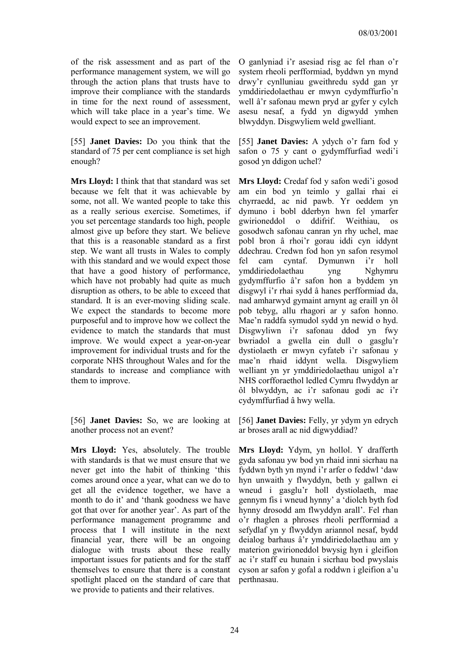of the risk assessment and as part of the performance management system, we will go through the action plans that trusts have to improve their compliance with the standards in time for the next round of assessment, which will take place in a year's time. We would expect to see an improvement.

[55] **Janet Davies:** Do you think that the standard of 75 per cent compliance is set high enough?

**Mrs Lloyd:** I think that that standard was set because we felt that it was achievable by some, not all. We wanted people to take this as a really serious exercise. Sometimes, if you set percentage standards too high, people almost give up before they start. We believe that this is a reasonable standard as a first step. We want all trusts in Wales to comply with this standard and we would expect those that have a good history of performance, which have not probably had quite as much disruption as others, to be able to exceed that standard. It is an ever-moving sliding scale. We expect the standards to become more purposeful and to improve how we collect the evidence to match the standards that must improve. We would expect a year-on-year improvement for individual trusts and for the corporate NHS throughout Wales and for the standards to increase and compliance with them to improve.

[56] **Janet Davies:** So, we are looking at another process not an event?

**Mrs Lloyd:** Yes, absolutely. The trouble with standards is that we must ensure that we never get into the habit of thinking 'this comes around once a year, what can we do to get all the evidence together, we have a month to do it' and 'thank goodness we have got that over for another year'. As part of the performance management programme and process that I will institute in the next financial year, there will be an ongoing dialogue with trusts about these really important issues for patients and for the staff themselves to ensure that there is a constant spotlight placed on the standard of care that we provide to patients and their relatives.

O ganlyniad i'r asesiad risg ac fel rhan o'r system rheoli perfformiad, byddwn yn mynd drwy'r cynlluniau gweithredu sydd gan yr ymddiriedolaethau er mwyn cydymffurfio'n well â'r safonau mewn pryd ar gyfer y cylch asesu nesaf, a fydd yn digwydd ymhen blwyddyn. Disgwyliem weld gwelliant.

[55] **Janet Davies:** A ydych o'r farn fod y safon o 75 y cant o gydymffurfiad wedi'i gosod yn ddigon uchel?

**Mrs Lloyd:** Credaf fod y safon wedi'i gosod am ein bod yn teimlo y gallai rhai ei chyrraedd, ac nid pawb. Yr oeddem yn dymuno i bobl dderbyn hwn fel ymarfer gwirioneddol o ddifrif. Weithiau, os gosodwch safonau canran yn rhy uchel, mae pobl bron â rhoi'r gorau iddi cyn iddynt ddechrau. Credwn fod hon yn safon resymol fel cam cyntaf. Dymunwn i'r holl ymddiriedolaethau yng Nghymru gydymffurfio â'r safon hon a byddem yn disgwyl i'r rhai sydd â hanes perfformiad da, nad amharwyd gymaint arnynt ag eraill yn ôl pob tebyg, allu rhagori ar y safon honno. Mae'n raddfa symudol sydd yn newid o hyd. Disgwyliwn i'r safonau ddod yn fwy bwriadol a gwella ein dull o gasglu'r dystiolaeth er mwyn cyfateb i'r safonau y mae'n rhaid iddynt wella. Disgwyliem welliant yn yr ymddiriedolaethau unigol a'r NHS corfforaethol ledled Cymru flwyddyn ar ôl blwyddyn, ac i'r safonau godi ac i'r cydymffurfiad â hwy wella.

[56] **Janet Davies:** Felly, yr ydym yn edrych ar broses arall ac nid digwyddiad?

**Mrs Lloyd:** Ydym, yn hollol. Y drafferth gyda safonau yw bod yn rhaid inni sicrhau na fyddwn byth yn mynd i'r arfer o feddwl 'daw hyn unwaith y flwyddyn, beth y gallwn ei wneud i gasglu'r holl dystiolaeth, mae gennym fis i wneud hynny' a 'diolch byth fod hynny drosodd am flwyddyn arall'. Fel rhan o'r rhaglen a phroses rheoli perfformiad a sefydlaf yn y flwyddyn ariannol nesaf, bydd deialog barhaus â'r ymddiriedolaethau am y materion gwirioneddol bwysig hyn i gleifion ac i'r staff eu hunain i sicrhau bod pwyslais cyson ar safon y gofal a roddwn i gleifion a'u perthnasau.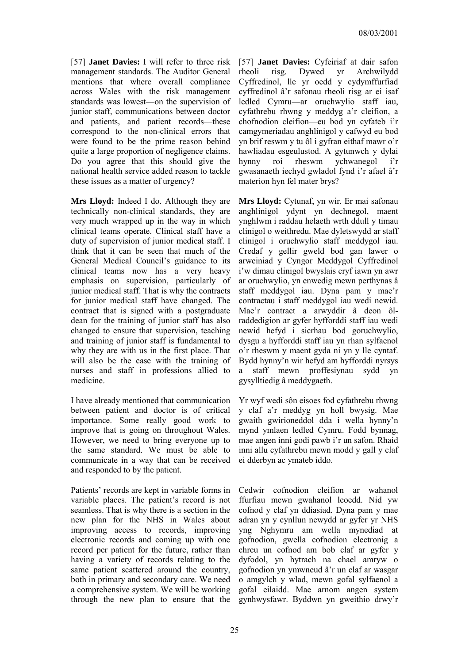[57] **Janet Davies:** I will refer to three risk management standards. The Auditor General mentions that where overall compliance across Wales with the risk management standards was lowest—on the supervision of junior staff, communications between doctor and patients, and patient records—these correspond to the non-clinical errors that were found to be the prime reason behind quite a large proportion of negligence claims. Do you agree that this should give the national health service added reason to tackle these issues as a matter of urgency?

**Mrs Lloyd:** Indeed I do. Although they are technically non-clinical standards, they are very much wrapped up in the way in which clinical teams operate. Clinical staff have a duty of supervision of junior medical staff. I think that it can be seen that much of the General Medical Council's guidance to its clinical teams now has a very heavy emphasis on supervision, particularly of junior medical staff. That is why the contracts for junior medical staff have changed. The contract that is signed with a postgraduate dean for the training of junior staff has also changed to ensure that supervision, teaching and training of junior staff is fundamental to why they are with us in the first place. That will also be the case with the training of nurses and staff in professions allied to medicine.

I have already mentioned that communication between patient and doctor is of critical importance. Some really good work to improve that is going on throughout Wales. However, we need to bring everyone up to the same standard. We must be able to communicate in a way that can be received and responded to by the patient.

Patients' records are kept in variable forms in variable places. The patient's record is not seamless. That is why there is a section in the new plan for the NHS in Wales about improving access to records, improving electronic records and coming up with one record per patient for the future, rather than having a variety of records relating to the same patient scattered around the country, both in primary and secondary care. We need a comprehensive system. We will be working through the new plan to ensure that the

[57] **Janet Davies:** Cyfeiriaf at dair safon rheoli risg. Dywed yr Archwilydd Cyffredinol, lle yr oedd y cydymffurfiad cyffredinol â'r safonau rheoli risg ar ei isaf ledled Cymru—ar oruchwylio staff iau, cyfathrebu rhwng y meddyg a'r cleifion, a chofnodion cleifion—eu bod yn cyfateb i'r camgymeriadau anghlinigol y cafwyd eu bod yn brif reswm y tu ôl i gyfran eithaf mawr o'r hawliadau esgeulustod. A gytunwch y dylai hynny roi rheswm ychwanegol gwasanaeth iechyd gwladol fynd i'r afael â'r materion hyn fel mater brys?

**Mrs Lloyd:** Cytunaf, yn wir. Er mai safonau anghlinigol ydynt yn dechnegol, maent ynghlwm i raddau helaeth wrth ddull y timau clinigol o weithredu. Mae dyletswydd ar staff clinigol i oruchwylio staff meddygol iau. Credaf y gellir gweld bod gan lawer o arweiniad y Cyngor Meddygol Cyffredinol i'w dimau clinigol bwyslais cryf iawn yn awr ar oruchwylio, yn enwedig mewn perthynas â staff meddygol iau. Dyna pam y mae'r contractau i staff meddygol iau wedi newid. Mae'r contract a arwyddir â deon ôlraddedigion ar gyfer hyfforddi staff iau wedi newid hefyd i sicrhau bod goruchwylio, dysgu a hyfforddi staff iau yn rhan sylfaenol o'r rheswm y maent gyda ni yn y lle cyntaf. Bydd hynny'n wir hefyd am hyfforddi nyrsys a staff mewn proffesiynau sydd yn gysylltiedig â meddygaeth.

Yr wyf wedi sôn eisoes fod cyfathrebu rhwng y claf a'r meddyg yn holl bwysig. Mae gwaith gwirioneddol dda i wella hynny'n mynd ymlaen ledled Cymru. Fodd bynnag, mae angen inni godi pawb i'r un safon. Rhaid inni allu cyfathrebu mewn modd y gall y claf ei dderbyn ac ymateb iddo.

Cedwir cofnodion cleifion ar wahanol ffurfiau mewn gwahanol leoedd. Nid yw cofnod y claf yn ddiasiad. Dyna pam y mae adran yn y cynllun newydd ar gyfer yr NHS yng Nghymru am wella mynediad at gofnodion, gwella cofnodion electronig a chreu un cofnod am bob claf ar gyfer y dyfodol, yn hytrach na chael amryw o gofnodion yn ymwneud â'r un claf ar wasgar o amgylch y wlad, mewn gofal sylfaenol a gofal eilaidd. Mae arnom angen system gynhwysfawr. Byddwn yn gweithio drwy'r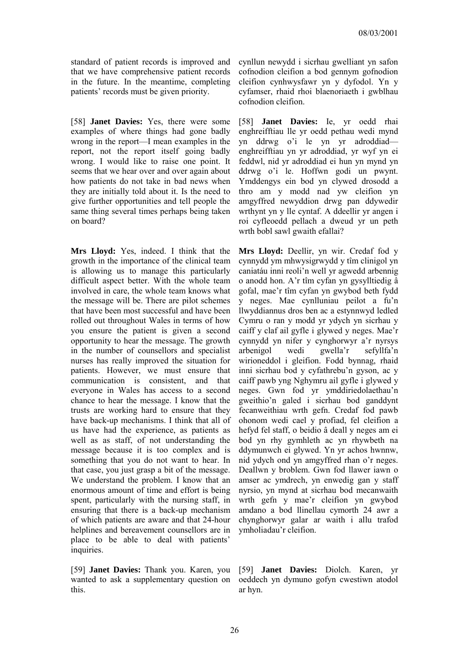standard of patient records is improved and that we have comprehensive patient records in the future. In the meantime, completing patients' records must be given priority.

[58] **Janet Davies:** Yes, there were some examples of where things had gone badly wrong in the report—I mean examples in the report, not the report itself going badly wrong. I would like to raise one point. It seems that we hear over and over again about how patients do not take in bad news when they are initially told about it. Is the need to give further opportunities and tell people the same thing several times perhaps being taken on board?

**Mrs Lloyd:** Yes, indeed. I think that the growth in the importance of the clinical team is allowing us to manage this particularly difficult aspect better. With the whole team involved in care, the whole team knows what the message will be. There are pilot schemes that have been most successful and have been rolled out throughout Wales in terms of how you ensure the patient is given a second opportunity to hear the message. The growth in the number of counsellors and specialist nurses has really improved the situation for patients. However, we must ensure that communication is consistent, and that everyone in Wales has access to a second chance to hear the message. I know that the trusts are working hard to ensure that they have back-up mechanisms. I think that all of us have had the experience, as patients as well as as staff, of not understanding the message because it is too complex and is something that you do not want to hear. In that case, you just grasp a bit of the message. We understand the problem. I know that an enormous amount of time and effort is being spent, particularly with the nursing staff, in ensuring that there is a back-up mechanism of which patients are aware and that 24-hour helplines and bereavement counsellors are in place to be able to deal with patients' inquiries.

[59] **Janet Davies:** Thank you. Karen, you wanted to ask a supplementary question on this.

cynllun newydd i sicrhau gwelliant yn safon cofnodion cleifion a bod gennym gofnodion cleifion cynhwysfawr yn y dyfodol. Yn y cyfamser, rhaid rhoi blaenoriaeth i gwblhau cofnodion cleifion.

[58] **Janet Davies:** Ie, yr oedd rhai enghreifftiau lle yr oedd pethau wedi mynd yn ddrwg o'i le yn yr adroddiad enghreifftiau yn yr adroddiad, yr wyf yn ei feddwl, nid yr adroddiad ei hun yn mynd yn ddrwg o'i le. Hoffwn godi un pwynt. Ymddengys ein bod yn clywed drosodd a thro am y modd nad yw cleifion yn amgyffred newyddion drwg pan ddywedir wrthynt yn y lle cyntaf. A ddeellir yr angen i roi cyfleoedd pellach a dweud yr un peth wrth bobl sawl gwaith efallai?

**Mrs Lloyd:** Deellir, yn wir. Credaf fod y cynnydd ym mhwysigrwydd y tîm clinigol yn caniatáu inni reoli'n well yr agwedd arbennig o anodd hon. A'r tîm cyfan yn gysylltiedig â gofal, mae'r tîm cyfan yn gwybod beth fydd y neges. Mae cynlluniau peilot a fu'n llwyddiannus dros ben ac a estynnwyd ledled Cymru o ran y modd yr ydych yn sicrhau y caiff y claf ail gyfle i glywed y neges. Mae'r cynnydd yn nifer y cynghorwyr a'r nyrsys arbenigol wedi gwella'r sefyllfa'n wirioneddol i gleifion. Fodd bynnag, rhaid inni sicrhau bod y cyfathrebu'n gyson, ac y caiff pawb yng Nghymru ail gyfle i glywed y neges. Gwn fod yr ymddiriedolaethau'n gweithio'n galed i sicrhau bod ganddynt fecanweithiau wrth gefn. Credaf fod pawb ohonom wedi cael y profiad, fel cleifion a hefyd fel staff, o beidio â deall y neges am ei bod yn rhy gymhleth ac yn rhywbeth na ddymunwch ei glywed. Yn yr achos hwnnw, nid ydych ond yn amgyffred rhan o'r neges. Deallwn y broblem. Gwn fod llawer iawn o amser ac ymdrech, yn enwedig gan y staff nyrsio, yn mynd at sicrhau bod mecanwaith wrth gefn y mae'r cleifion yn gwybod amdano a bod llinellau cymorth 24 awr a chynghorwyr galar ar waith i allu trafod ymholiadau'r cleifion.

[59] **Janet Davies:** Diolch. Karen, yr oeddech yn dymuno gofyn cwestiwn atodol ar hyn.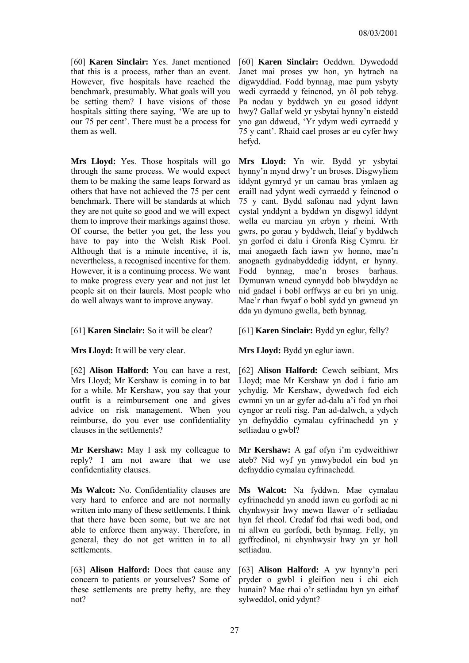[60] **Karen Sinclair:** Yes. Janet mentioned that this is a process, rather than an event. However, five hospitals have reached the benchmark, presumably. What goals will you be setting them? I have visions of those hospitals sitting there saying, 'We are up to our 75 per cent'. There must be a process for them as well.

**Mrs Lloyd:** Yes. Those hospitals will go through the same process. We would expect them to be making the same leaps forward as others that have not achieved the 75 per cent benchmark. There will be standards at which they are not quite so good and we will expect them to improve their markings against those. Of course, the better you get, the less you have to pay into the Welsh Risk Pool. Although that is a minute incentive, it is, nevertheless, a recognised incentive for them. However, it is a continuing process. We want to make progress every year and not just let people sit on their laurels. Most people who do well always want to improve anyway.

[62] **Alison Halford:** You can have a rest, Mrs Lloyd; Mr Kershaw is coming in to bat for a while. Mr Kershaw, you say that your outfit is a reimbursement one and gives advice on risk management. When you reimburse, do you ever use confidentiality clauses in the settlements?

**Mr Kershaw:** May I ask my colleague to reply? I am not aware that we use confidentiality clauses.

**Ms Walcot:** No. Confidentiality clauses are very hard to enforce and are not normally written into many of these settlements. I think that there have been some, but we are not able to enforce them anyway. Therefore, in general, they do not get written in to all settlements.

[63] **Alison Halford:** Does that cause any concern to patients or yourselves? Some of these settlements are pretty hefty, are they not?

[60] **Karen Sinclair:** Oeddwn. Dywedodd Janet mai proses yw hon, yn hytrach na digwyddiad. Fodd bynnag, mae pum ysbyty wedi cyrraedd y feincnod, yn ôl pob tebyg. Pa nodau y byddwch yn eu gosod iddynt hwy? Gallaf weld yr ysbytai hynny'n eistedd yno gan ddweud, 'Yr ydym wedi cyrraedd y 75 y cant'. Rhaid cael proses ar eu cyfer hwy hefyd.

**Mrs Lloyd:** Yn wir. Bydd yr ysbytai hynny'n mynd drwy'r un broses. Disgwyliem iddynt gymryd yr un camau bras ymlaen ag eraill nad ydynt wedi cyrraedd y feincnod o 75 y cant. Bydd safonau nad ydynt lawn cystal ynddynt a byddwn yn disgwyl iddynt wella eu marciau yn erbyn y rheini. Wrth gwrs, po gorau y byddwch, lleiaf y byddwch yn gorfod ei dalu i Gronfa Risg Cymru. Er mai anogaeth fach iawn yw honno, mae'n anogaeth gydnabyddedig iddynt, er hynny. Fodd bynnag, mae'n broses barhaus. Dymunwn wneud cynnydd bob blwyddyn ac nid gadael i bobl orffwys ar eu bri yn unig. Mae'r rhan fwyaf o bobl sydd yn gwneud yn dda yn dymuno gwella, beth bynnag.

[61] **Karen Sinclair:** So it will be clear? [61] **Karen Sinclair:** Bydd yn eglur, felly?

**Mrs Lloyd:** It will be very clear. **Mrs Lloyd:** Bydd yn eglur iawn.

[62] **Alison Halford:** Cewch seibiant, Mrs Lloyd; mae Mr Kershaw yn dod i fatio am ychydig. Mr Kershaw, dywedwch fod eich cwmni yn un ar gyfer ad-dalu a'i fod yn rhoi cyngor ar reoli risg. Pan ad-dalwch, a ydych yn defnyddio cymalau cyfrinachedd yn y setliadau o gwbl?

**Mr Kershaw:** A gaf ofyn i'm cydweithiwr ateb? Nid wyf yn ymwybodol ein bod yn defnyddio cymalau cyfrinachedd.

**Ms Walcot:** Na fyddwn. Mae cymalau cyfrinachedd yn anodd iawn eu gorfodi ac ni chynhwysir hwy mewn llawer o'r setliadau hyn fel rheol. Credaf fod rhai wedi bod, ond ni allwn eu gorfodi, beth bynnag. Felly, yn gyffredinol, ni chynhwysir hwy yn yr holl setliadau.

[63] **Alison Halford:** A yw hynny'n peri pryder o gwbl i gleifion neu i chi eich hunain? Mae rhai o'r setliadau hyn yn eithaf sylweddol, onid ydynt?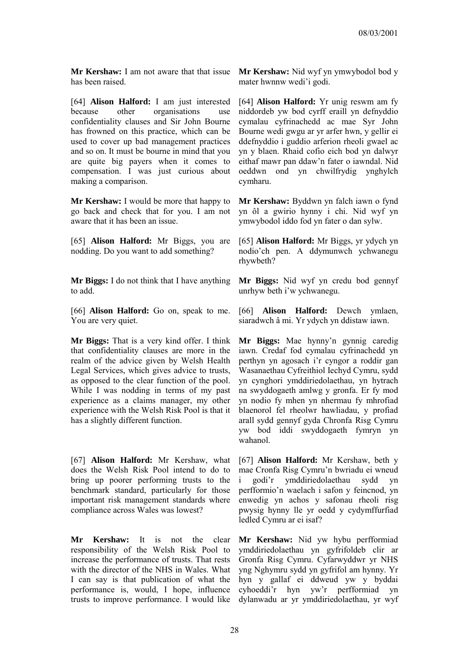**Mr Kershaw:** I am not aware that that issue has been raised.

[64] **Alison Halford:** I am just interested because other organisations use confidentiality clauses and Sir John Bourne has frowned on this practice, which can be used to cover up bad management practices and so on. It must be bourne in mind that you are quite big payers when it comes to compensation. I was just curious about making a comparison.

**Mr Kershaw:** I would be more that happy to go back and check that for you. I am not aware that it has been an issue.

[65] **Alison Halford:** Mr Biggs, you are nodding. Do you want to add something?

**Mr Biggs:** I do not think that I have anything to add.

[66] **Alison Halford:** Go on, speak to me. You are very quiet.

**Mr Biggs:** That is a very kind offer. I think that confidentiality clauses are more in the realm of the advice given by Welsh Health Legal Services, which gives advice to trusts, as opposed to the clear function of the pool. While I was nodding in terms of my past experience as a claims manager, my other experience with the Welsh Risk Pool is that it has a slightly different function.

[67] **Alison Halford:** Mr Kershaw, what does the Welsh Risk Pool intend to do to bring up poorer performing trusts to the benchmark standard, particularly for those important risk management standards where compliance across Wales was lowest?

**Mr Kershaw:** It is not the clear responsibility of the Welsh Risk Pool to increase the performance of trusts. That rests with the director of the NHS in Wales. What I can say is that publication of what the performance is, would, I hope, influence trusts to improve performance. I would like

**Mr Kershaw:** Nid wyf yn ymwybodol bod y mater hwnnw wedi'i godi.

[64] **Alison Halford:** Yr unig reswm am fy niddordeb yw bod cyrff eraill yn defnyddio cymalau cyfrinachedd ac mae Syr John Bourne wedi gwgu ar yr arfer hwn, y gellir ei ddefnyddio i guddio arferion rheoli gwael ac yn y blaen. Rhaid cofio eich bod yn dalwyr eithaf mawr pan ddaw'n fater o iawndal. Nid oeddwn ond yn chwilfrydig ynghylch cymharu.

**Mr Kershaw:** Byddwn yn falch iawn o fynd yn ôl a gwirio hynny i chi. Nid wyf yn ymwybodol iddo fod yn fater o dan sylw.

[65] **Alison Halford:** Mr Biggs, yr ydych yn nodio'ch pen. A ddymunwch ychwanegu rhywbeth?

**Mr Biggs:** Nid wyf yn credu bod gennyf unrhyw beth i'w ychwanegu.

[66] **Alison Halford:** Dewch ymlaen, siaradwch â mi. Yr ydych yn ddistaw iawn.

**Mr Biggs:** Mae hynny'n gynnig caredig iawn. Credaf fod cymalau cyfrinachedd yn perthyn yn agosach i'r cyngor a roddir gan Wasanaethau Cyfreithiol Iechyd Cymru, sydd yn cynghori ymddiriedolaethau, yn hytrach na swyddogaeth amlwg y gronfa. Er fy mod yn nodio fy mhen yn nhermau fy mhrofiad blaenorol fel rheolwr hawliadau, y profiad arall sydd gennyf gyda Chronfa Risg Cymru yw bod iddi swyddogaeth fymryn yn wahanol.

[67] **Alison Halford:** Mr Kershaw, beth y mae Cronfa Risg Cymru'n bwriadu ei wneud i godi'r ymddiriedolaethau sydd yn perfformio'n waelach i safon y feincnod, yn enwedig yn achos y safonau rheoli risg pwysig hynny lle yr oedd y cydymffurfiad ledled Cymru ar ei isaf?

**Mr Kershaw:** Nid yw hybu perfformiad ymddiriedolaethau yn gyfrifoldeb clir ar Gronfa Risg Cymru. Cyfarwyddwr yr NHS yng Nghymru sydd yn gyfrifol am hynny. Yr hyn y gallaf ei ddweud yw y byddai cyhoeddi'r hyn yw'r perfformiad yn dylanwadu ar yr ymddiriedolaethau, yr wyf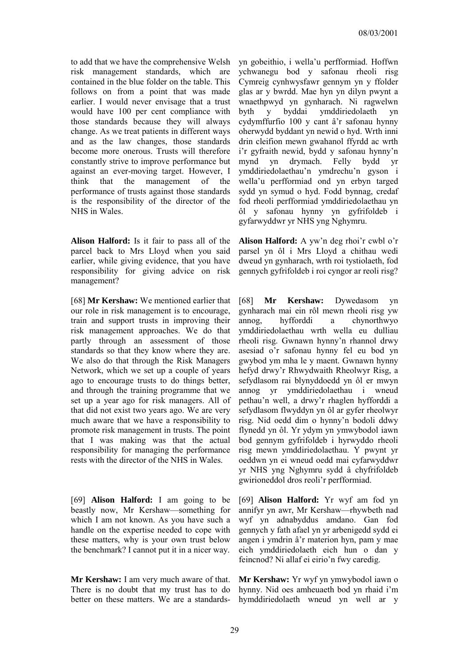to add that we have the comprehensive Welsh risk management standards, which are contained in the blue folder on the table. This follows on from a point that was made earlier. I would never envisage that a trust would have 100 per cent compliance with those standards because they will always change. As we treat patients in different ways and as the law changes, those standards become more onerous. Trusts will therefore constantly strive to improve performance but against an ever-moving target. However, I think that the management of the performance of trusts against those standards is the responsibility of the director of the NHS in Wales.

**Alison Halford:** Is it fair to pass all of the parcel back to Mrs Lloyd when you said earlier, while giving evidence, that you have responsibility for giving advice on risk management?

[68] **Mr Kershaw:** We mentioned earlier that our role in risk management is to encourage, train and support trusts in improving their risk management approaches. We do that partly through an assessment of those standards so that they know where they are. We also do that through the Risk Managers Network, which we set up a couple of years ago to encourage trusts to do things better, and through the training programme that we set up a year ago for risk managers. All of that did not exist two years ago. We are very much aware that we have a responsibility to promote risk management in trusts. The point that I was making was that the actual responsibility for managing the performance rests with the director of the NHS in Wales.

[69] **Alison Halford:** I am going to be beastly now, Mr Kershaw—something for which I am not known. As you have such a handle on the expertise needed to cope with these matters, why is your own trust below the benchmark? I cannot put it in a nicer way.

**Mr Kershaw:** I am very much aware of that. There is no doubt that my trust has to do better on these matters. We are a standardsyn gobeithio, i wella'u perfformiad. Hoffwn ychwanegu bod y safonau rheoli risg Cymreig cynhwysfawr gennym yn y ffolder glas ar y bwrdd. Mae hyn yn dilyn pwynt a wnaethpwyd yn gynharach. Ni ragwelwn byth y byddai ymddiriedolaeth yn cydymffurfio 100 y cant â'r safonau hynny oherwydd byddant yn newid o hyd. Wrth inni drin cleifion mewn gwahanol ffyrdd ac wrth i'r gyfraith newid, bydd y safonau hynny'n mynd yn drymach. Felly bydd yr ymddiriedolaethau'n ymdrechu'n gyson i wella'u perfformiad ond yn erbyn targed sydd yn symud o hyd. Fodd bynnag, credaf fod rheoli perfformiad ymddiriedolaethau yn ôl y safonau hynny yn gyfrifoldeb i gyfarwyddwr yr NHS yng Nghymru.

**Alison Halford:** A yw'n deg rhoi'r cwbl o'r parsel yn ôl i Mrs Lloyd a chithau wedi dweud yn gynharach, wrth roi tystiolaeth, fod gennych gyfrifoldeb i roi cyngor ar reoli risg?

[68] **Mr Kershaw:** Dywedasom yn gynharach mai ein rôl mewn rheoli risg yw annog, hyfforddi a chynorthwyo ymddiriedolaethau wrth wella eu dulliau rheoli risg. Gwnawn hynny'n rhannol drwy asesiad o'r safonau hynny fel eu bod yn gwybod ym mha le y maent. Gwnawn hynny hefyd drwy'r Rhwydwaith Rheolwyr Risg, a sefydlasom rai blynyddoedd yn ôl er mwyn annog yr ymddiriedolaethau i wneud pethau'n well, a drwy'r rhaglen hyfforddi a sefydlasom flwyddyn yn ôl ar gyfer rheolwyr risg. Nid oedd dim o hynny'n bodoli ddwy flynedd yn ôl. Yr ydym yn ymwybodol iawn bod gennym gyfrifoldeb i hyrwyddo rheoli risg mewn ymddiriedolaethau. Y pwynt yr oeddwn yn ei wneud oedd mai cyfarwyddwr yr NHS yng Nghymru sydd â chyfrifoldeb gwirioneddol dros reoli'r perfformiad.

[69] **Alison Halford:** Yr wyf am fod yn annifyr yn awr, Mr Kershaw—rhywbeth nad wyf yn adnabyddus amdano. Gan fod gennych y fath afael yn yr arbenigedd sydd ei angen i ymdrin â'r materion hyn, pam y mae eich ymddiriedolaeth eich hun o dan y feincnod? Ni allaf ei eirio'n fwy caredig.

**Mr Kershaw:** Yr wyf yn ymwybodol iawn o hynny. Nid oes amheuaeth bod yn rhaid i'm hymddiriedolaeth wneud yn well ar y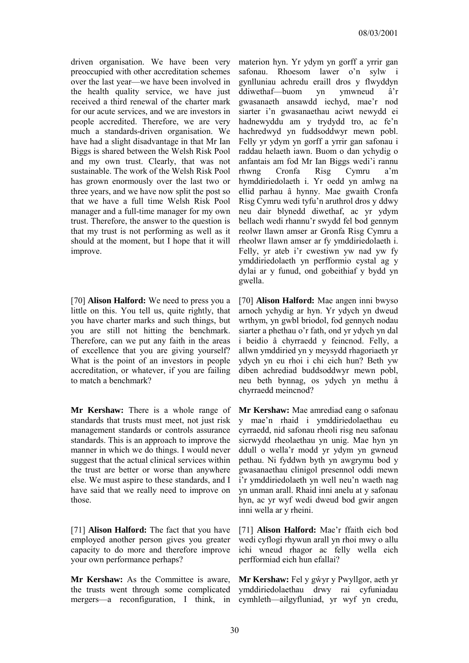driven organisation. We have been very preoccupied with other accreditation schemes over the last year—we have been involved in the health quality service, we have just received a third renewal of the charter mark for our acute services, and we are investors in people accredited. Therefore, we are very much a standards-driven organisation. We have had a slight disadvantage in that Mr Ian Biggs is shared between the Welsh Risk Pool and my own trust. Clearly, that was not sustainable. The work of the Welsh Risk Pool has grown enormously over the last two or three years, and we have now split the post so that we have a full time Welsh Risk Pool manager and a full-time manager for my own trust. Therefore, the answer to the question is that my trust is not performing as well as it should at the moment, but I hope that it will improve.

[70] **Alison Halford:** We need to press you a little on this. You tell us, quite rightly, that you have charter marks and such things, but you are still not hitting the benchmark. Therefore, can we put any faith in the areas of excellence that you are giving yourself? What is the point of an investors in people accreditation, or whatever, if you are failing to match a benchmark?

**Mr Kershaw:** There is a whole range of standards that trusts must meet, not just risk management standards or controls assurance standards. This is an approach to improve the manner in which we do things. I would never suggest that the actual clinical services within the trust are better or worse than anywhere else. We must aspire to these standards, and I have said that we really need to improve on those.

[71] **Alison Halford:** The fact that you have employed another person gives you greater capacity to do more and therefore improve your own performance perhaps?

**Mr Kershaw:** As the Committee is aware, the trusts went through some complicated mergers—a reconfiguration, I think, in cymhleth—ailgyfluniad, yr wyf yn credu,

materion hyn. Yr ydym yn gorff a yrrir gan safonau. Rhoesom lawer o'n sylw i gynlluniau achredu eraill dros y flwyddyn ddiwethaf—buom yn ymwneud â'r gwasanaeth ansawdd iechyd, mae'r nod siarter i'n gwasanaethau aciwt newydd ei hadnewyddu am y trydydd tro, ac fe'n hachredwyd yn fuddsoddwyr mewn pobl. Felly yr ydym yn gorff a yrrir gan safonau i raddau helaeth iawn. Buom o dan ychydig o anfantais am fod Mr Ian Biggs wedi'i rannu rhwng Cronfa Risg Cymru a'm hymddiriedolaeth i. Yr oedd yn amlwg na ellid parhau â hynny. Mae gwaith Cronfa Risg Cymru wedi tyfu'n aruthrol dros y ddwy neu dair blynedd diwethaf, ac yr ydym bellach wedi rhannu'r swydd fel bod gennym reolwr llawn amser ar Gronfa Risg Cymru a rheolwr llawn amser ar fy ymddiriedolaeth i. Felly, yr ateb i'r cwestiwn yw nad yw fy ymddiriedolaeth yn perfformio cystal ag y dylai ar y funud, ond gobeithiaf y bydd yn gwella.

[70] **Alison Halford:** Mae angen inni bwyso arnoch ychydig ar hyn. Yr ydych yn dweud wrthym, yn gwbl briodol, fod gennych nodau siarter a phethau o'r fath, ond yr ydych yn dal i beidio â chyrraedd y feincnod. Felly, a allwn ymddiried yn y meysydd rhagoriaeth yr ydych yn eu rhoi i chi eich hun? Beth yw diben achrediad buddsoddwyr mewn pobl, neu beth bynnag, os ydych yn methu â chyrraedd meincnod?

**Mr Kershaw:** Mae amrediad eang o safonau y mae'n rhaid i ymddiriedolaethau eu cyrraedd, nid safonau rheoli risg neu safonau sicrwydd rheolaethau yn unig. Mae hyn yn ddull o wella'r modd yr ydym yn gwneud pethau. Ni fyddwn byth yn awgrymu bod y gwasanaethau clinigol presennol oddi mewn i'r ymddiriedolaeth yn well neu'n waeth nag yn unman arall. Rhaid inni anelu at y safonau hyn, ac yr wyf wedi dweud bod gwir angen inni wella ar y rheini.

[71] **Alison Halford:** Mae'r ffaith eich bod wedi cyflogi rhywun arall yn rhoi mwy o allu ichi wneud rhagor ac felly wella eich perfformiad eich hun efallai?

**Mr Kershaw:** Fel y gŵyr y Pwyllgor, aeth yr ymddiriedolaethau drwy rai cyfuniadau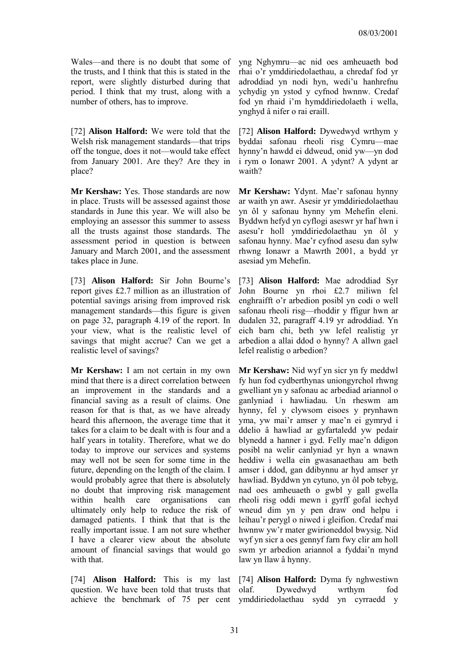Wales—and there is no doubt that some of the trusts, and I think that this is stated in the report, were slightly disturbed during that period. I think that my trust, along with a number of others, has to improve.

[72] **Alison Halford:** We were told that the Welsh risk management standards—that trips off the tongue, does it not—would take effect from January 2001. Are they? Are they in place?

**Mr Kershaw:** Yes. Those standards are now in place. Trusts will be assessed against those standards in June this year. We will also be employing an assessor this summer to assess all the trusts against those standards. The assessment period in question is between January and March 2001, and the assessment takes place in June.

[73] **Alison Halford:** Sir John Bourne's report gives £2.7 million as an illustration of potential savings arising from improved risk management standards—this figure is given on page 32, paragraph 4.19 of the report. In your view, what is the realistic level of savings that might accrue? Can we get a realistic level of savings?

**Mr Kershaw:** I am not certain in my own mind that there is a direct correlation between an improvement in the standards and a financial saving as a result of claims. One reason for that is that, as we have already heard this afternoon, the average time that it takes for a claim to be dealt with is four and a half years in totality. Therefore, what we do today to improve our services and systems may well not be seen for some time in the future, depending on the length of the claim. I would probably agree that there is absolutely no doubt that improving risk management within health care organisations can ultimately only help to reduce the risk of damaged patients. I think that that is the really important issue. I am not sure whether I have a clearer view about the absolute amount of financial savings that would go with that.

[74] **Alison Halford:** This is my last question. We have been told that trusts that achieve the benchmark of 75 per cent ymddiriedolaethau sydd yn cyrraedd y

yng Nghymru—ac nid oes amheuaeth bod rhai o'r ymddiriedolaethau, a chredaf fod yr adroddiad yn nodi hyn, wedi'u hanhrefnu ychydig yn ystod y cyfnod hwnnw. Credaf fod yn rhaid i'm hymddiriedolaeth i wella, ynghyd â nifer o rai eraill.

[72] **Alison Halford:** Dywedwyd wrthym y byddai safonau rheoli risg Cymru—mae hynny'n hawdd ei ddweud, onid yw—yn dod i rym o Ionawr 2001. A ydynt? A ydynt ar waith?

**Mr Kershaw:** Ydynt. Mae'r safonau hynny ar waith yn awr. Asesir yr ymddiriedolaethau yn ôl y safonau hynny ym Mehefin eleni. Byddwn hefyd yn cyflogi aseswr yr haf hwn i asesu'r holl ymddiriedolaethau yn ôl y safonau hynny. Mae'r cyfnod asesu dan sylw rhwng Ionawr a Mawrth 2001, a bydd yr asesiad ym Mehefin.

[73] **Alison Halford:** Mae adroddiad Syr John Bourne yn rhoi £2.7 miliwn fel enghraifft o'r arbedion posibl yn codi o well safonau rheoli risg—rhoddir y ffigur hwn ar dudalen 32, paragraff 4.19 yr adroddiad. Yn eich barn chi, beth yw lefel realistig yr arbedion a allai ddod o hynny? A allwn gael lefel realistig o arbedion?

**Mr Kershaw:** Nid wyf yn sicr yn fy meddwl fy hun fod cydberthynas uniongyrchol rhwng gwelliant yn y safonau ac arbediad ariannol o ganlyniad i hawliadau. Un rheswm am hynny, fel y clywsom eisoes y prynhawn yma, yw mai'r amser y mae'n ei gymryd i ddelio â hawliad ar gyfartaledd yw pedair blynedd a hanner i gyd. Felly mae'n ddigon posibl na welir canlyniad yr hyn a wnawn heddiw i wella ein gwasanaethau am beth amser i ddod, gan ddibynnu ar hyd amser yr hawliad. Byddwn yn cytuno, yn ôl pob tebyg, nad oes amheuaeth o gwbl y gall gwella rheoli risg oddi mewn i gyrff gofal iechyd wneud dim yn y pen draw ond helpu i leihau'r perygl o niwed i gleifion. Credaf mai hwnnw yw'r mater gwirioneddol bwysig. Nid wyf yn sicr a oes gennyf farn fwy clir am holl swm yr arbedion ariannol a fyddai'n mynd law yn llaw â hynny.

[74] **Alison Halford:** Dyma fy nghwestiwn olaf. Dywedwyd wrthym fod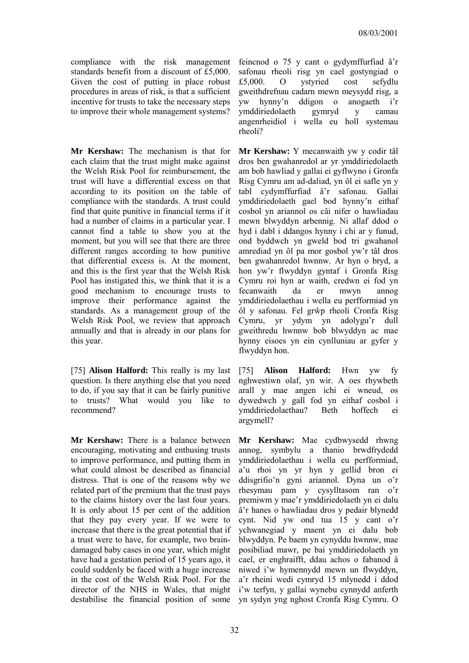compliance with the risk management standards benefit from a discount of £5,000. Given the cost of putting in place robust procedures in areas of risk, is that a sufficient incentive for trusts to take the necessary steps to improve their whole management systems?

**Mr Kershaw:** The mechanism is that for each claim that the trust might make against the Welsh Risk Pool for reimbursement, the trust will have a differential excess on that according to its position on the table of compliance with the standards. A trust could find that quite punitive in financial terms if it had a number of claims in a particular year. I cannot find a table to show you at the moment, but you will see that there are three different ranges according to how punitive that differential excess is. At the moment, and this is the first year that the Welsh Risk Pool has instigated this, we think that it is a good mechanism to encourage trusts to improve their performance against the standards. As a management group of the Welsh Risk Pool, we review that approach annually and that is already in our plans for this year.

[75] **Alison Halford:** This really is my last question. Is there anything else that you need to do, if you say that it can be fairly punitive to trusts? What would you like to recommend?

**Mr Kershaw:** There is a balance between encouraging, motivating and enthusing trusts to improve performance, and putting them in what could almost be described as financial distress. That is one of the reasons why we related part of the premium that the trust pays to the claims history over the last four years. It is only about 15 per cent of the addition that they pay every year. If we were to increase that there is the great potential that if a trust were to have, for example, two braindamaged baby cases in one year, which might have had a gestation period of 15 years ago, it could suddenly be faced with a huge increase in the cost of the Welsh Risk Pool. For the director of the NHS in Wales, that might destabilise the financial position of some

feincnod o 75 y cant o gydymffurfiad â'r safonau rheoli risg yn cael gostyngiad o £5,000. O ystyried cost sefydlu gweithdrefnau cadarn mewn meysydd risg, a yw hynny'n ddigon o anogaeth i'r ymddiriedolaeth gymryd y camau angenrheidiol i wella eu holl systemau rheoli?

**Mr Kershaw:** Y mecanwaith yw y codir tâl dros ben gwahanredol ar yr ymddiriedolaeth am bob hawliad y gallai ei gyflwyno i Gronfa Risg Cymru am ad-daliad, yn ôl ei safle yn y tabl cydymffurfiad â'r safonau. Gallai ymddiriedolaeth gael bod hynny'n eithaf cosbol yn ariannol os câi nifer o hawliadau mewn blwyddyn arbennig. Ni allaf ddod o hyd i dabl i ddangos hynny i chi ar y funud, ond byddwch yn gweld bod tri gwahanol amrediad yn ôl pa mor gosbol yw'r tâl dros ben gwahanredol hwnnw. Ar hyn o bryd, a hon yw'r flwyddyn gyntaf i Gronfa Risg Cymru roi hyn ar waith, credwn ei fod yn fecanwaith da er mwyn annog ymddiriedolaethau i wella eu perfformiad yn ôl y safonau. Fel grŵp rheoli Cronfa Risg Cymru, yr ydym yn adolygu'r dull gweithredu hwnnw bob blwyddyn ac mae hynny eisoes yn ein cynlluniau ar gyfer y flwyddyn hon.

[75] **Alison Halford:** Hwn yw fy nghwestiwn olaf, yn wir. A oes rhywbeth arall y mae angen ichi ei wneud, os dywedwch y gall fod yn eithaf cosbol i ymddiriedolaethau? Beth hoffech ei argymell?

**Mr Kershaw:** Mae cydbwysedd rhwng annog, symbylu a thanio brwdfrydedd ymddiriedolaethau i wella eu perfformiad, a'u rhoi yn yr hyn y gellid bron ei ddisgrifio'n gyni ariannol. Dyna un o'r rhesymau pam y cysylltasom ran o'r premiwm y mae'r ymddiriedolaeth yn ei dalu â'r hanes o hawliadau dros y pedair blynedd cynt. Nid yw ond tua 15 y cant o'r ychwanegiad y maent yn ei dalu bob blwyddyn. Pe baem yn cynyddu hwnnw, mae posibiliad mawr, pe bai ymddiriedolaeth yn cael, er enghraifft, ddau achos o fabanod â niwed i'w hymennydd mewn un flwyddyn, a'r rheini wedi cymryd 15 mlynedd i ddod i'w terfyn, y gallai wynebu cynnydd anferth yn sydyn yng nghost Cronfa Risg Cymru. O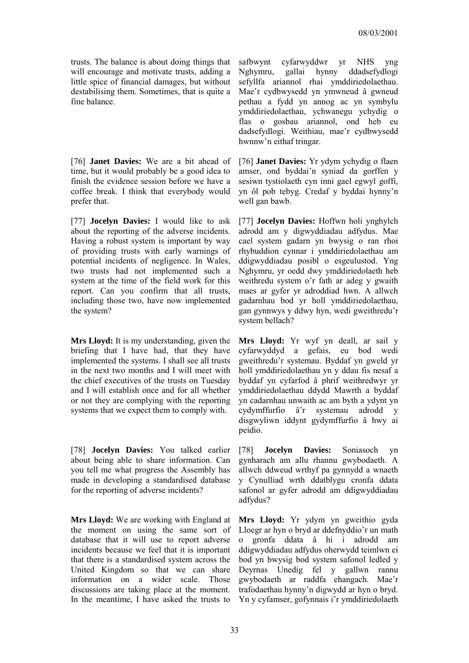trusts. The balance is about doing things that will encourage and motivate trusts, adding a little spice of financial damages, but without destabilising them. Sometimes, that is quite a fine balance.

[76] **Janet Davies:** We are a bit ahead of time, but it would probably be a good idea to finish the evidence session before we have a coffee break. I think that everybody would prefer that.

[77] **Jocelyn Davies:** I would like to ask about the reporting of the adverse incidents. Having a robust system is important by way of providing trusts with early warnings of potential incidents of negligence. In Wales, two trusts had not implemented such a system at the time of the field work for this report. Can you confirm that all trusts, including those two, have now implemented the system?

**Mrs Lloyd:** It is my understanding, given the briefing that I have had, that they have implemented the systems. I shall see all trusts in the next two months and I will meet with the chief executives of the trusts on Tuesday and I will establish once and for all whether or not they are complying with the reporting systems that we expect them to comply with.

[78] **Jocelyn Davies:** You talked earlier about being able to share information. Can you tell me what progress the Assembly has made in developing a standardised database for the reporting of adverse incidents?

**Mrs Lloyd:** We are working with England at the moment on using the same sort of database that it will use to report adverse incidents because we feel that it is important that there is a standardised system across the United Kingdom so that we can share information on a wider scale. Those discussions are taking place at the moment. In the meantime, I have asked the trusts to

safbwynt cyfarwyddwr yr NHS yng Nghymru, gallai hynny ddadsefydlogi sefyllfa ariannol rhai ymddiriedolaethau. Mae'r cydbwysedd yn ymwneud â gwneud pethau a fydd yn annog ac yn symbylu ymddiriedolaethau, ychwanegu ychydig o flas o gosbau ariannol, ond heb eu dadsefydlogi. Weithiau, mae'r cydbwysedd hwnnw'n eithaf tringar.

[76] **Janet Davies:** Yr ydym ychydig o flaen amser, ond byddai'n syniad da gorffen y sesiwn tystiolaeth cyn inni gael egwyl goffi, yn ôl pob tebyg. Credaf y byddai hynny'n well gan bawb.

[77] **Jocelyn Davies:** Hoffwn holi ynghylch adrodd am y digwyddiadau adfydus. Mae cael system gadarn yn bwysig o ran rhoi rhybuddion cynnar i ymddiriedolaethau am ddigwyddiadau posibl o esgeulustod. Yng Nghymru, yr oedd dwy ymddiriedolaeth heb weithredu system o'r fath ar adeg y gwaith maes ar gyfer yr adroddiad hwn. A allwch gadarnhau bod yr holl ymddiriedolaethau, gan gynnwys y ddwy hyn, wedi gweithredu'r system bellach?

**Mrs Lloyd:** Yr wyf yn deall, ar sail y cyfarwyddyd a gefais, eu bod wedi gweithredu'r systemau. Byddaf yn gweld yr holl ymddiriedolaethau yn y ddau fis nesaf a byddaf yn cyfarfod â phrif weithredwyr yr ymddiriedolaethau ddydd Mawrth a byddaf yn cadarnhau unwaith ac am byth a ydynt yn cydymffurfio â'r systemau adrodd y disgwyliwn iddynt gydymffurfio â hwy ai peidio.

[78] **Jocelyn Davies:** Soniasoch yn gynharach am allu rhannu gwybodaeth. A allwch ddweud wrthyf pa gynnydd a wnaeth y Cynulliad wrth ddatblygu cronfa ddata safonol ar gyfer adrodd am ddigwyddiadau adfydus?

**Mrs Lloyd:** Yr ydym yn gweithio gyda Lloegr ar hyn o bryd ar ddefnyddio'r un math o gronfa ddata â hi i adrodd am ddigwyddiadau adfydus oherwydd teimlwn ei bod yn bwysig bod system safonol ledled y Deyrnas Unedig fel y gallwn rannu gwybodaeth ar raddfa ehangach. Mae'r trafodaethau hynny'n digwydd ar hyn o bryd. Yn y cyfamser, gofynnais i'r ymddiriedolaeth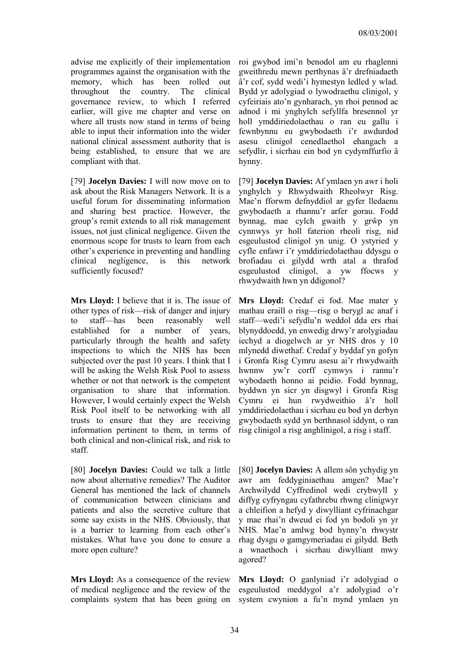advise me explicitly of their implementation programmes against the organisation with the memory, which has been rolled out throughout the country. The clinical governance review, to which I referred earlier, will give me chapter and verse on where all trusts now stand in terms of being able to input their information into the wider national clinical assessment authority that is being established, to ensure that we are compliant with that.

[79] **Jocelyn Davies:** I will now move on to ask about the Risk Managers Network. It is a useful forum for disseminating information and sharing best practice. However, the group's remit extends to all risk management issues, not just clinical negligence. Given the enormous scope for trusts to learn from each other's experience in preventing and handling clinical negligence, is this network sufficiently focused?

**Mrs Lloyd:** I believe that it is. The issue of other types of risk—risk of danger and injury to staff—has been reasonably well established for a number of years, particularly through the health and safety inspections to which the NHS has been subjected over the past 10 years. I think that I will be asking the Welsh Risk Pool to assess whether or not that network is the competent organisation to share that information. However, I would certainly expect the Welsh Risk Pool itself to be networking with all trusts to ensure that they are receiving information pertinent to them, in terms of both clinical and non-clinical risk, and risk to staff.

[80] **Jocelyn Davies:** Could we talk a little now about alternative remedies? The Auditor General has mentioned the lack of channels of communication between clinicians and patients and also the secretive culture that some say exists in the NHS. Obviously, that is a barrier to learning from each other's mistakes. What have you done to ensure a more open culture?

**Mrs Lloyd:** As a consequence of the review of medical negligence and the review of the complaints system that has been going on system cwynion a fu'n mynd ymlaen yn

roi gwybod imi'n benodol am eu rhaglenni gweithredu mewn perthynas â'r drefniadaeth â'r cof, sydd wedi'i hymestyn ledled y wlad. Bydd yr adolygiad o lywodraethu clinigol, y cyfeiriais ato'n gynharach, yn rhoi pennod ac adnod i mi ynghylch sefyllfa bresennol yr holl ymddiriedolaethau o ran eu gallu i fewnbynnu eu gwybodaeth i'r awdurdod asesu clinigol cenedlaethol ehangach a sefydlir, i sicrhau ein bod yn cydymffurfio â hynny.

[79] **Jocelyn Davies:** Af ymlaen yn awr i holi ynghylch y Rhwydwaith Rheolwyr Risg. Mae'n fforwm defnyddiol ar gyfer lledaenu gwybodaeth a rhannu'r arfer gorau. Fodd bynnag, mae cylch gwaith y grŵp yn cynnwys yr holl faterion rheoli risg, nid esgeulustod clinigol yn unig. O ystyried y cyfle enfawr i'r ymddiriedolaethau ddysgu o brofiadau ei gilydd wrth atal a thrafod esgeulustod clinigol, a yw ffocws y rhwydwaith hwn yn ddigonol?

**Mrs Lloyd:** Credaf ei fod. Mae mater y mathau eraill o risg—risg o berygl ac anaf i staff—wedi'i sefydlu'n weddol dda ers rhai blynyddoedd, yn enwedig drwy'r arolygiadau iechyd a diogelwch ar yr NHS dros y 10 mlynedd diwethaf. Credaf y byddaf yn gofyn i Gronfa Risg Cymru asesu ai'r rhwydwaith hwnnw yw'r corff cymwys i rannu'r wybodaeth honno ai peidio. Fodd bynnag, byddwn yn sicr yn disgwyl i Gronfa Risg Cymru ei hun rwydweithio â'r holl ymddiriedolaethau i sicrhau eu bod yn derbyn gwybodaeth sydd yn berthnasol iddynt, o ran risg clinigol a risg anghlinigol, a risg i staff.

[80] **Jocelyn Davies:** A allem sôn ychydig yn awr am feddyginiaethau amgen? Mae'r Archwilydd Cyffredinol wedi crybwyll y diffyg cyfryngau cyfathrebu rhwng clinigwyr a chleifion a hefyd y diwylliant cyfrinachgar y mae rhai'n dweud ei fod yn bodoli yn yr NHS. Mae'n amlwg bod hynny'n rhwystr rhag dysgu o gamgymeriadau ei gilydd. Beth a wnaethoch i sicrhau diwylliant mwy agored?

**Mrs Lloyd:** O ganlyniad i'r adolygiad o esgeulustod meddygol a'r adolygiad o'r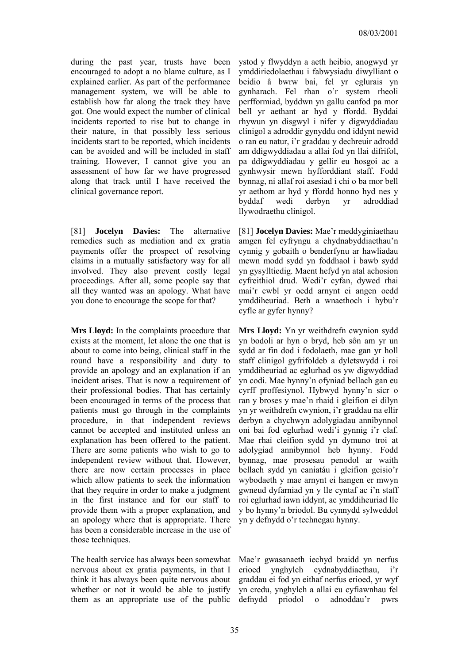during the past year, trusts have been encouraged to adopt a no blame culture, as I explained earlier. As part of the performance management system, we will be able to establish how far along the track they have got. One would expect the number of clinical incidents reported to rise but to change in their nature, in that possibly less serious incidents start to be reported, which incidents can be avoided and will be included in staff training. However, I cannot give you an assessment of how far we have progressed along that track until I have received the clinical governance report.

[81] **Jocelyn Davies:** The alternative remedies such as mediation and ex gratia payments offer the prospect of resolving claims in a mutually satisfactory way for all involved. They also prevent costly legal proceedings. After all, some people say that all they wanted was an apology. What have you done to encourage the scope for that?

**Mrs Lloyd:** In the complaints procedure that exists at the moment, let alone the one that is about to come into being, clinical staff in the round have a responsibility and duty to provide an apology and an explanation if an incident arises. That is now a requirement of their professional bodies. That has certainly been encouraged in terms of the process that patients must go through in the complaints procedure, in that independent reviews cannot be accepted and instituted unless an explanation has been offered to the patient. There are some patients who wish to go to independent review without that. However, there are now certain processes in place which allow patients to seek the information that they require in order to make a judgment in the first instance and for our staff to provide them with a proper explanation, and an apology where that is appropriate. There has been a considerable increase in the use of those techniques.

The health service has always been somewhat nervous about ex gratia payments, in that I think it has always been quite nervous about whether or not it would be able to justify them as an appropriate use of the public defnydd priodol o adnoddau'r pwrs

ystod y flwyddyn a aeth heibio, anogwyd yr ymddiriedolaethau i fabwysiadu diwylliant o beidio â bwrw bai, fel yr eglurais yn gynharach. Fel rhan o'r system rheoli perfformiad, byddwn yn gallu canfod pa mor bell yr aethant ar hyd y ffordd. Byddai rhywun yn disgwyl i nifer y digwyddiadau clinigol a adroddir gynyddu ond iddynt newid o ran eu natur, i'r graddau y dechreuir adrodd am ddigwyddiadau a allai fod yn llai difrifol, pa ddigwyddiadau y gellir eu hosgoi ac a gynhwysir mewn hyfforddiant staff. Fodd bynnag, ni allaf roi asesiad i chi o ba mor bell yr aethom ar hyd y ffordd honno hyd nes y byddaf wedi derbyn yr adroddiad llywodraethu clinigol.

[81] **Jocelyn Davies:** Mae'r meddyginiaethau amgen fel cyfryngu a chydnabyddiaethau'n cynnig y gobaith o benderfynu ar hawliadau mewn modd sydd yn foddhaol i bawb sydd yn gysylltiedig. Maent hefyd yn atal achosion cyfreithiol drud. Wedi'r cyfan, dywed rhai mai'r cwbl yr oedd arnynt ei angen oedd ymddiheuriad. Beth a wnaethoch i hybu'r cyfle ar gyfer hynny?

**Mrs Lloyd:** Yn yr weithdrefn cwynion sydd yn bodoli ar hyn o bryd, heb sôn am yr un sydd ar fin dod i fodolaeth, mae gan yr holl staff clinigol gyfrifoldeb a dyletswydd i roi ymddiheuriad ac eglurhad os yw digwyddiad yn codi. Mae hynny'n ofyniad bellach gan eu cyrff proffesiynol. Hybwyd hynny'n sicr o ran y broses y mae'n rhaid i gleifion ei dilyn yn yr weithdrefn cwynion, i'r graddau na ellir derbyn a chychwyn adolygiadau annibynnol oni bai fod eglurhad wedi'i gynnig i'r claf. Mae rhai cleifion sydd yn dymuno troi at adolygiad annibynnol heb hynny. Fodd bynnag, mae prosesau penodol ar waith bellach sydd yn caniatáu i gleifion geisio'r wybodaeth y mae arnynt ei hangen er mwyn gwneud dyfarniad yn y lle cyntaf ac i'n staff roi eglurhad iawn iddynt, ac ymddiheuriad lle y bo hynny'n briodol. Bu cynnydd sylweddol yn y defnydd o'r technegau hynny.

Mae'r gwasanaeth iechyd braidd yn nerfus erioed ynghylch cydnabyddiaethau, i'r graddau ei fod yn eithaf nerfus erioed, yr wyf yn credu, ynghylch a allai eu cyfiawnhau fel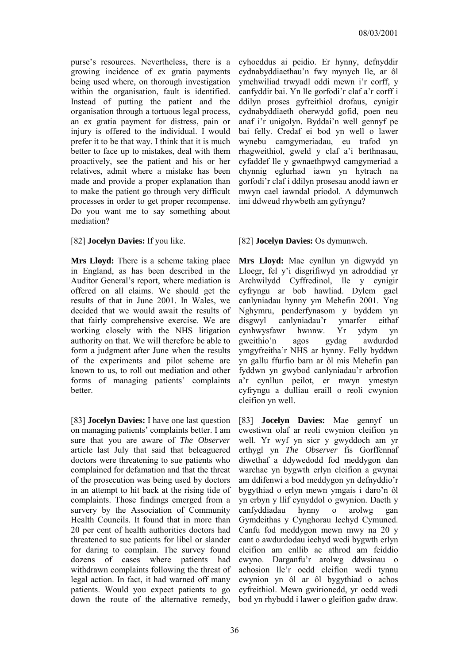purse's resources. Nevertheless, there is a growing incidence of ex gratia payments being used where, on thorough investigation within the organisation, fault is identified. Instead of putting the patient and the organisation through a tortuous legal process, an ex gratia payment for distress, pain or injury is offered to the individual. I would prefer it to be that way. I think that it is much better to face up to mistakes, deal with them proactively, see the patient and his or her relatives, admit where a mistake has been made and provide a proper explanation than to make the patient go through very difficult processes in order to get proper recompense. Do you want me to say something about mediation?

**Mrs Lloyd:** There is a scheme taking place in England, as has been described in the Auditor General's report, where mediation is offered on all claims. We should get the results of that in June 2001. In Wales, we decided that we would await the results of that fairly comprehensive exercise. We are working closely with the NHS litigation authority on that. We will therefore be able to form a judgment after June when the results of the experiments and pilot scheme are known to us, to roll out mediation and other forms of managing patients' complaints better.

[83] **Jocelyn Davies:** I have one last question on managing patients' complaints better. I am sure that you are aware of *The Observer* article last July that said that beleaguered doctors were threatening to sue patients who complained for defamation and that the threat of the prosecution was being used by doctors in an attempt to hit back at the rising tide of complaints. Those findings emerged from a survery by the Association of Community Health Councils. It found that in more than 20 per cent of health authorities doctors had threatened to sue patients for libel or slander for daring to complain. The survey found dozens of cases where patients had withdrawn complaints following the threat of legal action. In fact, it had warned off many patients. Would you expect patients to go down the route of the alternative remedy,

cyhoeddus ai peidio. Er hynny, defnyddir cydnabyddiaethau'n fwy mynych lle, ar ôl ymchwiliad trwyadl oddi mewn i'r corff, y canfyddir bai. Yn lle gorfodi'r claf a'r corff i ddilyn proses gyfreithiol drofaus, cynigir cydnabyddiaeth oherwydd gofid, poen neu anaf i'r unigolyn. Byddai'n well gennyf pe bai felly. Credaf ei bod yn well o lawer wynebu camgymeriadau, eu trafod yn rhagweithiol, gweld y claf a'i berthnasau, cyfaddef lle y gwnaethpwyd camgymeriad a chynnig eglurhad iawn yn hytrach na gorfodi'r claf i ddilyn prosesau anodd iawn er mwyn cael iawndal priodol. A ddymunwch imi ddweud rhywbeth am gyfryngu?

## [82] **Jocelyn Davies:** If you like. [82] **Jocelyn Davies:** Os dymunwch.

**Mrs Lloyd:** Mae cynllun yn digwydd yn Lloegr, fel y'i disgrifiwyd yn adroddiad yr Archwilydd Cyffredinol, lle y cynigir cyfryngu ar bob hawliad. Dylem gael canlyniadau hynny ym Mehefin 2001. Yng Nghymru, penderfynasom y byddem yn disgwyl canlyniadau'r ymarfer eithaf cynhwysfawr hwnnw. Yr ydym yn gweithio'n agos gydag awdurdod ymgyfreitha'r NHS ar hynny. Felly byddwn yn gallu ffurfio barn ar ôl mis Mehefin pan fyddwn yn gwybod canlyniadau'r arbrofion a'r cynllun peilot, er mwyn ymestyn cyfryngu a dulliau eraill o reoli cwynion cleifion yn well.

[83] **Jocelyn Davies:** Mae gennyf un cwestiwn olaf ar reoli cwynion cleifion yn well. Yr wyf yn sicr y gwyddoch am yr erthygl yn *The Observer* fis Gorffennaf diwethaf a ddywedodd fod meddygon dan warchae yn bygwth erlyn cleifion a gwynai am ddifenwi a bod meddygon yn defnyddio'r bygythiad o erlyn mewn ymgais i daro'n ôl yn erbyn y llif cynyddol o gwynion. Daeth y canfyddiadau hynny o arolwg gan Gymdeithas y Cynghorau Iechyd Cymuned. Canfu fod meddygon mewn mwy na 20 y cant o awdurdodau iechyd wedi bygwth erlyn cleifion am enllib ac athrod am feiddio cwyno. Darganfu'r arolwg ddwsinau o achosion lle'r oedd cleifion wedi tynnu cwynion yn ôl ar ôl bygythiad o achos cyfreithiol. Mewn gwirionedd, yr oedd wedi bod yn rhybudd i lawer o gleifion gadw draw.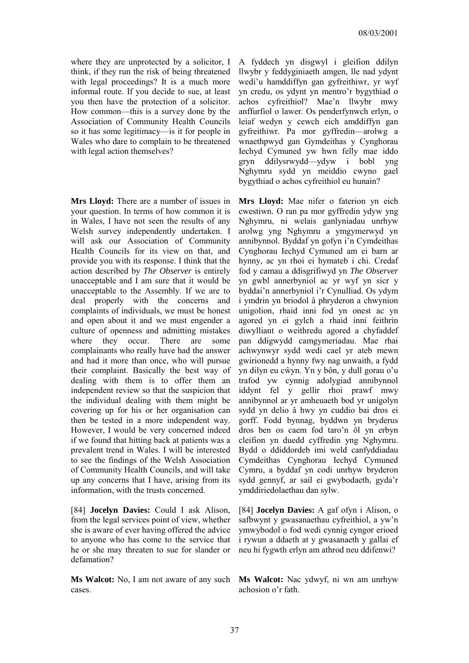where they are unprotected by a solicitor, I think, if they run the risk of being threatened with legal proceedings? It is a much more informal route. If you decide to sue, at least you then have the protection of a solicitor. How common—this is a survey done by the Association of Community Health Councils so it has some legitimacy—is it for people in Wales who dare to complain to be threatened with legal action themselves?

**Mrs Lloyd:** There are a number of issues in your question. In terms of how common it is in Wales, I have not seen the results of any Welsh survey independently undertaken. I will ask our Association of Community Health Councils for its view on that, and provide you with its response. I think that the action described by *The Observer* is entirely unacceptable and I am sure that it would be unacceptable to the Assembly. If we are to deal properly with the concerns and complaints of individuals, we must be honest and open about it and we must engender a culture of openness and admitting mistakes where they occur. There are some complainants who really have had the answer and had it more than once, who will pursue their complaint. Basically the best way of dealing with them is to offer them an independent review so that the suspicion that the individual dealing with them might be covering up for his or her organisation can then be tested in a more independent way. However, I would be very concerned indeed if we found that hitting back at patients was a prevalent trend in Wales. I will be interested to see the findings of the Welsh Association of Community Health Councils, and will take up any concerns that I have, arising from its information, with the trusts concerned.

[84] **Jocelyn Davies:** Could I ask Alison, from the legal services point of view, whether she is aware of ever having offered the advice to anyone who has come to the service that he or she may threaten to sue for slander or defamation?

**Ms Walcot:** No, I am not aware of any such **Ms Walcot:** Nac ydwyf, ni wn am unrhyw cases.

A fyddech yn disgwyl i gleifion ddilyn llwybr y feddyginiaeth amgen, lle nad ydynt wedi'u hamddiffyn gan gyfreithiwr, yr wyf yn credu, os ydynt yn mentro'r bygythiad o achos cyfreithiol? Mae'n llwybr mwy anffurfiol o lawer. Os penderfynwch erlyn, o leiaf wedyn y cewch eich amddiffyn gan gyfreithiwr. Pa mor gyffredin—arolwg a wnaethpwyd gan Gymdeithas y Cynghorau Iechyd Cymuned yw hwn felly mae iddo gryn ddilysrwydd—ydyw i bobl yng Nghymru sydd yn meiddio cwyno gael bygythiad o achos cyfreithiol eu hunain?

**Mrs Lloyd:** Mae nifer o faterion yn eich cwestiwn. O ran pa mor gyffredin ydyw yng Nghymru, ni welais ganlyniadau unrhyw arolwg yng Nghymru a ymgymerwyd yn annibynnol. Byddaf yn gofyn i'n Cymdeithas Cynghorau Iechyd Cymuned am ei barn ar hynny, ac yn rhoi ei hymateb i chi. Credaf fod y camau a ddisgrifiwyd yn *The Observer* yn gwbl annerbyniol ac yr wyf yn sicr y byddai'n annerbyniol i'r Cynulliad. Os ydym i ymdrin yn briodol â phryderon a chwynion unigolion, rhaid inni fod yn onest ac yn agored yn ei gylch a rhaid inni feithrin diwylliant o weithredu agored a chyfaddef pan ddigwydd camgymeriadau. Mae rhai achwynwyr sydd wedi cael yr ateb mewn gwirionedd a hynny fwy nag unwaith, a fydd yn dilyn eu cŵyn. Yn y bôn, y dull gorau o'u trafod yw cynnig adolygiad annibynnol iddynt fel y gellir rhoi prawf mwy annibynnol ar yr amheuaeth bod yr unigolyn sydd yn delio â hwy yn cuddio bai dros ei gorff. Fodd bynnag, byddwn yn bryderus dros ben os caem fod taro'n ôl yn erbyn cleifion yn duedd cyffredin yng Nghymru. Bydd o ddiddordeb imi weld canfyddiadau Cymdeithas Cynghorau Iechyd Cymuned Cymru, a byddaf yn codi unrhyw bryderon sydd gennyf, ar sail ei gwybodaeth, gyda'r ymddiriedolaethau dan sylw.

[84] **Jocelyn Davies:** A gaf ofyn i Alison, o safbwynt y gwasanaethau cyfreithiol, a yw'n ymwybodol o fod wedi cynnig cyngor erioed i rywun a ddaeth at y gwasanaeth y gallai ef neu hi fygwth erlyn am athrod neu ddifenwi?

achosion o'r fath.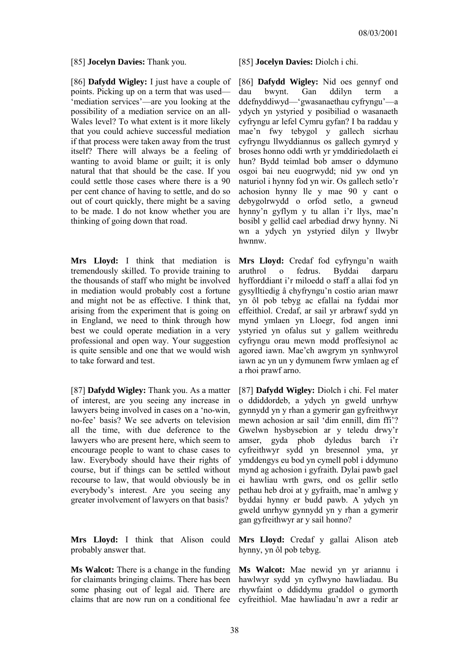[85] **Jocelyn Davies:** Thank you. [85] **Jocelyn Davies:** Diolch i chi.

[86] **Dafydd Wigley:** I just have a couple of points. Picking up on a term that was used— 'mediation services'—are you looking at the possibility of a mediation service on an all-Wales level? To what extent is it more likely that you could achieve successful mediation if that process were taken away from the trust itself? There will always be a feeling of wanting to avoid blame or guilt; it is only natural that that should be the case. If you could settle those cases where there is a 90 per cent chance of having to settle, and do so out of court quickly, there might be a saving to be made. I do not know whether you are thinking of going down that road.

**Mrs Lloyd:** I think that mediation is tremendously skilled. To provide training to the thousands of staff who might be involved in mediation would probably cost a fortune and might not be as effective. I think that, arising from the experiment that is going on in England, we need to think through how best we could operate mediation in a very professional and open way. Your suggestion is quite sensible and one that we would wish to take forward and test.

[87] **Dafydd Wigley:** Thank you. As a matter of interest, are you seeing any increase in lawyers being involved in cases on a 'no-win, no-fee' basis? We see adverts on television all the time, with due deference to the lawyers who are present here, which seem to encourage people to want to chase cases to law. Everybody should have their rights of course, but if things can be settled without recourse to law, that would obviously be in everybody's interest. Are you seeing any greater involvement of lawyers on that basis?

**Mrs Lloyd:** I think that Alison could probably answer that.

**Ms Walcot:** There is a change in the funding for claimants bringing claims. There has been some phasing out of legal aid. There are claims that are now run on a conditional fee

[86] **Dafydd Wigley:** Nid oes gennyf ond dau bwynt. Gan ddilyn term a ddefnyddiwyd—'gwasanaethau cyfryngu'—a ydych yn ystyried y posibiliad o wasanaeth cyfryngu ar lefel Cymru gyfan? I ba raddau y mae'n fwy tebygol y gallech sicrhau cyfryngu llwyddiannus os gallech gymryd y broses honno oddi wrth yr ymddiriedolaeth ei hun? Bydd teimlad bob amser o ddymuno osgoi bai neu euogrwydd; nid yw ond yn naturiol i hynny fod yn wir. Os gallech setlo'r achosion hynny lle y mae 90 y cant o debygolrwydd o orfod setlo, a gwneud hynny'n gyflym y tu allan i'r llys, mae'n bosibl y gellid cael arbediad drwy hynny. Ni wn a ydych yn ystyried dilyn y llwybr hwnnw.

**Mrs Lloyd:** Credaf fod cyfryngu'n waith aruthrol o fedrus. Byddai darparu hyfforddiant i'r miloedd o staff a allai fod yn gysylltiedig â chyfryngu'n costio arian mawr yn ôl pob tebyg ac efallai na fyddai mor effeithiol. Credaf, ar sail yr arbrawf sydd yn mynd ymlaen yn Lloegr, fod angen inni ystyried yn ofalus sut y gallem weithredu cyfryngu orau mewn modd proffesiynol ac agored iawn. Mae'ch awgrym yn synhwyrol iawn ac yn un y dymunem fwrw ymlaen ag ef a rhoi prawf arno.

[87] **Dafydd Wigley:** Diolch i chi. Fel mater o ddiddordeb, a ydych yn gweld unrhyw gynnydd yn y rhan a gymerir gan gyfreithwyr mewn achosion ar sail 'dim ennill, dim ffi'? Gwelwn hysbysebion ar y teledu drwy'r amser, gyda phob dyledus barch i'r cyfreithwyr sydd yn bresennol yma, yr ymddengys eu bod yn cymell pobl i ddymuno mynd ag achosion i gyfraith. Dylai pawb gael ei hawliau wrth gwrs, ond os gellir setlo pethau heb droi at y gyfraith, mae'n amlwg y byddai hynny er budd pawb. A ydych yn gweld unrhyw gynnydd yn y rhan a gymerir gan gyfreithwyr ar y sail honno?

**Mrs Lloyd:** Credaf y gallai Alison ateb hynny, yn ôl pob tebyg.

**Ms Walcot:** Mae newid yn yr ariannu i hawlwyr sydd yn cyflwyno hawliadau. Bu rhywfaint o ddiddymu graddol o gymorth cyfreithiol. Mae hawliadau'n awr a redir ar